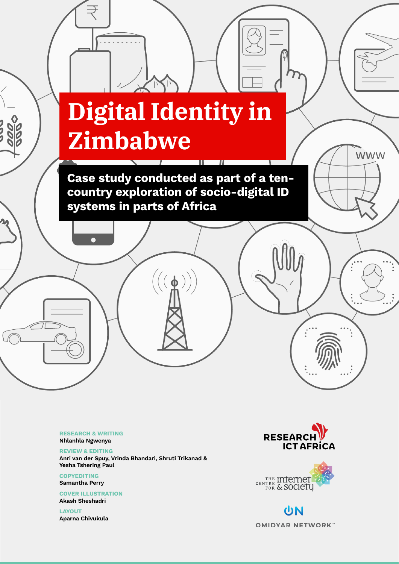# **Digital Identity in Zimbabwe**

Zimbabwe 1

Case study conducted as part of a tencountry exploration of socio-digital ID systems in parts of Africa

 $(\phi)$ 

RESEARCH & WRITING Nhlanhla Ngwenya

REVIEW & EDITING Anri van der Spuy, Vrinda Bhandari, Shruti Trikanad & Yesha Tshering Paul

**COPYEDITING** Samantha Perry

COVER ILLUSTRATION Akash Sheshadri

LAYOUT Aparna Chivukula



**WWW** 



UN **OMIDYAR NETWORK**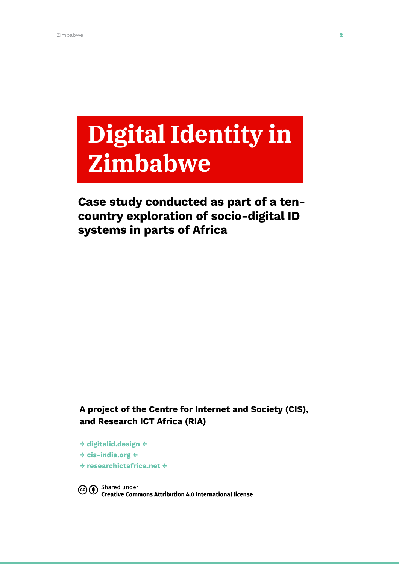# **Digital Identity in Zimbabwe**

# Case study conducted as part of a tencountry exploration of socio-digital ID systems in parts of Africa

A project of the Centre for Internet and Society (CIS), and Research ICT Africa (RIA)

→ [digitalid.design](http://digitalid.design) ← → [cis-india.org](http://cis-india.org) ← → [researchictafrica.net](http://researchictafrica.net) ←

Co <sup>Shared</sup> under<br>Commons Attribution 4.0 International license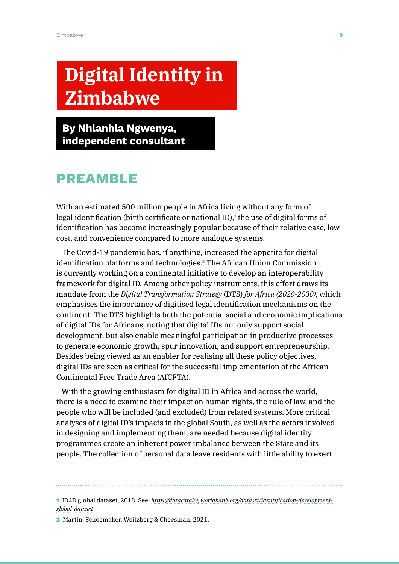# **Digital Identity in Zimbabwe**

By Nhlanhla Ngwenya, independent consultant

# **PREAMBLE**

With an estimated 500 million people in Africa living without any form of legal identification (birth certificate or national ID),<sup>1</sup> the use of digital forms of identification has become increasingly popular because of their relative ease, low cost, and convenience compared to more analogue systems.

The Covid-19 pandemic has, if anything, increased the appetite for digital identification platforms and technologies.<sup>2</sup> The African Union Commission is currently working on a continental initiative to develop an interoperability framework for digital ID. Among other policy instruments, this effort draws its mandate from the *Digital Transformation Strategy* (DTS) *for Africa (2020-2030)*, which emphasises the importance of digitised legal identification mechanisms on the continent. The DTS highlights both the potential social and economic implications of digital IDs for Africans, noting that digital IDs not only support social development, but also enable meaningful participation in productive processes to generate economic growth, spur innovation, and support entrepreneurship. Besides being viewed as an enabler for realising all these policy objectives, digital IDs are seen as critical for the successful implementation of the African Continental Free Trade Area (AfCFTA).

With the growing enthusiasm for digital ID in Africa and across the world, there is a need to examine their impact on human rights, the rule of law, and the people who will be included (and excluded) from related systems. More critical analyses of digital ID's impacts in the global South, as well as the actors involved in designing and implementing them, are needed because digital identity programmes create an inherent power imbalance between the State and its people. The collection of personal data leave residents with little ability to exert

1 ID4D global dataset, 2018. See: *[https://datacatalog.worldbank.org/dataset/identification-development](https://datacatalog.worldbank.org/dataset/identification-development-global-dataset)[global-dataset](https://datacatalog.worldbank.org/dataset/identification-development-global-dataset)*

2 Martin, Schoemaker, Weitzberg & Cheesman, 2021.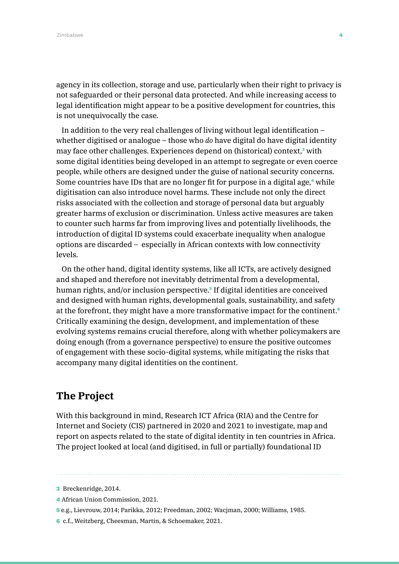agency in its collection, storage and use, particularly when their right to privacy is not safeguarded or their personal data protected. And while increasing access to legal identification might appear to be a positive development for countries, this is not unequivocally the case.

In addition to the very real challenges of living without legal identification – whether digitised or analogue – those who *do* have digital do have digital identity may face other challenges. Experiences depend on (historical) context,<sup>3</sup> with some digital identities being developed in an attempt to segregate or even coerce people, while others are designed under the guise of national security concerns. Some countries have IDs that are no longer fit for purpose in a digital age,<sup>4</sup> while digitisation can also introduce novel harms. These include not only the direct risks associated with the collection and storage of personal data but arguably greater harms of exclusion or discrimination. Unless active measures are taken to counter such harms far from improving lives and potentially livelihoods, the introduction of digital ID systems could exacerbate inequality when analogue options are discarded – especially in African contexts with low connectivity levels.

On the other hand, digital identity systems, like all ICTs, are actively designed and shaped and therefore not inevitably detrimental from a developmental, human rights, and/or inclusion perspective.<sup>5</sup> If digital identities are conceived and designed with human rights, developmental goals, sustainability, and safety at the forefront, they might have a more transformative impact for the continent.<sup>6</sup> Critically examining the design, development, and implementation of these evolving systems remains crucial therefore, along with whether policymakers are doing enough (from a governance perspective) to ensure the positive outcomes of engagement with these socio-digital systems, while mitigating the risks that accompany many digital identities on the continent.

## **The Project**

With this background in mind, Research ICT Africa (RIA) and the Centre for Internet and Society (CIS) partnered in 2020 and 2021 to investigate, map and report on aspects related to the state of digital identity in ten countries in Africa. The project looked at local (and digitised, in full or partially) foundational ID

- 4 African Union Commission, 2021.
- 5 e.g., Lievrouw, 2014; Parikka, 2012; Freedman, 2002; Wacjman, 2000; Williams, 1985.
- 6 c.f., Weitzberg, Cheesman, Martin, & Schoemaker, 2021.

<sup>3</sup> Breckenridge, 2014.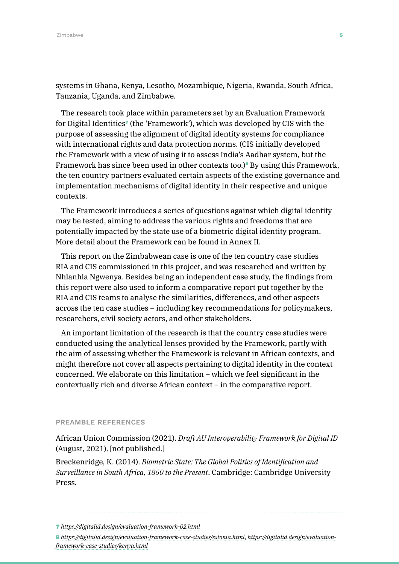systems in Ghana, Kenya, Lesotho, Mozambique, Nigeria, Rwanda, South Africa, Tanzania, Uganda, and Zimbabwe.

The research took place within parameters set by an Evaluation Framework for Digital Identities<sup>7</sup> (the 'Framework'), which was developed by CIS with the purpose of assessing the alignment of digital identity systems for compliance with international rights and data protection norms. (CIS initially developed the Framework with a view of using it to assess India's Aadhar system, but the Framework has since been used in other contexts too.)<sup>8</sup> By using this Framework, the ten country partners evaluated certain aspects of the existing governance and implementation mechanisms of digital identity in their respective and unique contexts.

The Framework introduces a series of questions against which digital identity may be tested, aiming to address the various rights and freedoms that are potentially impacted by the state use of a biometric digital identity program. More detail about the Framework can be found in Annex II.

This report on the Zimbabwean case is one of the ten country case studies RIA and CIS commissioned in this project, and was researched and written by Nhlanhla Ngwenya. Besides being an independent case study, the findings from this report were also used to inform a comparative report put together by the RIA and CIS teams to analyse the similarities, differences, and other aspects across the ten case studies – including key recommendations for policymakers, researchers, civil society actors, and other stakeholders.

An important limitation of the research is that the country case studies were conducted using the analytical lenses provided by the Framework, partly with the aim of assessing whether the Framework is relevant in African contexts, and might therefore not cover all aspects pertaining to digital identity in the context concerned. We elaborate on this limitation – which we feel significant in the contextually rich and diverse African context – in the comparative report.

#### PREAMBLE REFERENCES

African Union Commission (2021). *Draft AU Interoperability Framework for Digital ID* (August, 2021). [not published.]

Breckenridge, K. (2014). *Biometric State: The Global Politics of Identification and Surveillance in South Africa, 1850 to the Present*. Cambridge: Cambridge University Press.

8 *<https://digitalid.design/evaluation-framework-case-studies/estonia.html>*, *[https://digitalid.design/evaluation](https://digitalid.design/evaluation-framework-case-studies/kenya.html)[framework-case-studies/kenya.html](https://digitalid.design/evaluation-framework-case-studies/kenya.html)*

<sup>7</sup> *<https://digitalid.design/evaluation-framework-02.html>*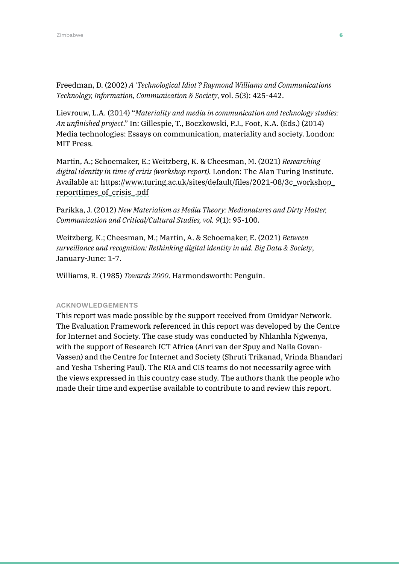Freedman, D. (2002) *A 'Technological Idiot'? Raymond Williams and Communications Technology, Information, Communication & Society*, vol. 5(3): 425-442.

Lievrouw, L.A. (2014) "*Materiality and media in communication and technology studies: An unfinished project*." In: Gillespie, T., Boczkowski, P.J., Foot, K.A. (Eds.) (2014) Media technologies: Essays on communication, materiality and society. London: MIT Press.

Martin, A.; Schoemaker, E.; Weitzberg, K. & Cheesman, M. (2021) *Researching digital identity in time of crisis (workshop report).* London: The Alan Turing Institute. Available at: [https://www.turing.ac.uk/sites/default/files/2021-08/3c\\_workshop\\_](https://www.turing.ac.uk/sites/default/files/2021-08/3c_workshop_reporttimes_of_crisis_.pdf) [reporttimes\\_of\\_crisis\\_.pdf](https://www.turing.ac.uk/sites/default/files/2021-08/3c_workshop_reporttimes_of_crisis_.pdf)

Parikka, J. (2012) *New Materialism as Media Theory: Medianatures and Dirty Matter, Communication and Critical/Cultural Studies, vol. 9*(1): 95-100.

Weitzberg, K.; Cheesman, M.; Martin, A. & Schoemaker, E. (2021) *Between surveillance and recognition: Rethinking digital identity in aid. Big Data & Society*, January-June: 1-7.

Williams, R. (1985) *Towards 2000*. Harmondsworth: Penguin.

#### ACKNOWLEDGEMENTS

This report was made possible by the support received from Omidyar Network. The Evaluation Framework referenced in this report was developed by the Centre for Internet and Society. The case study was conducted by Nhlanhla Ngwenya, with the support of Research ICT Africa (Anri van der Spuy and Naila Govan-Vassen) and the Centre for Internet and Society (Shruti Trikanad, Vrinda Bhandari and Yesha Tshering Paul). The RIA and CIS teams do not necessarily agree with the views expressed in this country case study. The authors thank the people who made their time and expertise available to contribute to and review this report.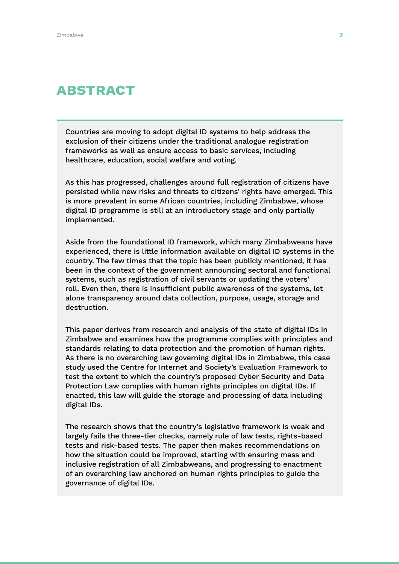# ABSTRACT

Countries are moving to adopt digital ID systems to help address the exclusion of their citizens under the traditional analogue registration frameworks as well as ensure access to basic services, including healthcare, education, social welfare and voting.

As this has progressed, challenges around full registration of citizens have persisted while new risks and threats to citizens' rights have emerged. This is more prevalent in some African countries, including Zimbabwe, whose digital ID programme is still at an introductory stage and only partially implemented.

Aside from the foundational ID framework, which many Zimbabweans have experienced, there is little information available on digital ID systems in the country. The few times that the topic has been publicly mentioned, it has been in the context of the government announcing sectoral and functional systems, such as registration of civil servants or updating the voters' roll. Even then, there is insufficient public awareness of the systems, let alone transparency around data collection, purpose, usage, storage and destruction.

This paper derives from research and analysis of the state of digital IDs in Zimbabwe and examines how the programme complies with principles and standards relating to data protection and the promotion of human rights. As there is no overarching law governing digital IDs in Zimbabwe, this case study used the Centre for Internet and Society's Evaluation Framework to test the extent to which the country's proposed Cyber Security and Data Protection Law complies with human rights principles on digital IDs. If enacted, this law will guide the storage and processing of data including digital IDs.

The research shows that the country's legislative framework is weak and largely fails the three-tier checks, namely rule of law tests, rights-based tests and risk-based tests. The paper then makes recommendations on how the situation could be improved, starting with ensuring mass and inclusive registration of all Zimbabweans, and progressing to enactment of an overarching law anchored on human rights principles to guide the governance of digital IDs.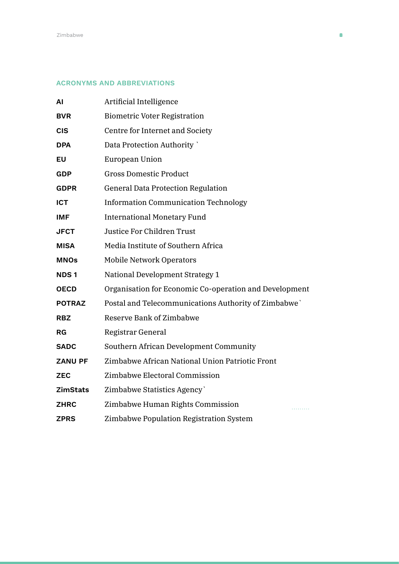#### ACRONYMS AND ABBREVIATIONS

| ΑI              | Artificial Intelligence                                |
|-----------------|--------------------------------------------------------|
| <b>BVR</b>      | <b>Biometric Voter Registration</b>                    |
| <b>CIS</b>      | Centre for Internet and Society                        |
| <b>DPA</b>      | Data Protection Authority                              |
| EU              | European Union                                         |
| <b>GDP</b>      | <b>Gross Domestic Product</b>                          |
| <b>GDPR</b>     | <b>General Data Protection Regulation</b>              |
| <b>ICT</b>      | <b>Information Communication Technology</b>            |
| <b>IMF</b>      | <b>International Monetary Fund</b>                     |
| <b>JFCT</b>     | <b>Justice For Children Trust</b>                      |
| <b>MISA</b>     | Media Institute of Southern Africa                     |
| <b>MNOs</b>     | <b>Mobile Network Operators</b>                        |
| <b>NDS1</b>     | National Development Strategy 1                        |
| <b>OECD</b>     | Organisation for Economic Co-operation and Development |
| <b>POTRAZ</b>   | Postal and Telecommunications Authority of Zimbabwe`   |
| <b>RBZ</b>      | Reserve Bank of Zimbabwe                               |
| RG              | Registrar General                                      |
| <b>SADC</b>     | Southern African Development Community                 |
| <b>ZANU PF</b>  | Zimbabwe African National Union Patriotic Front        |
| <b>ZEC</b>      | Zimbabwe Electoral Commission                          |
| <b>ZimStats</b> | Zimbabwe Statistics Agency`                            |
| <b>ZHRC</b>     | Zimbabwe Human Rights Commission                       |
| <b>ZPRS</b>     | Zimbabwe Population Registration System                |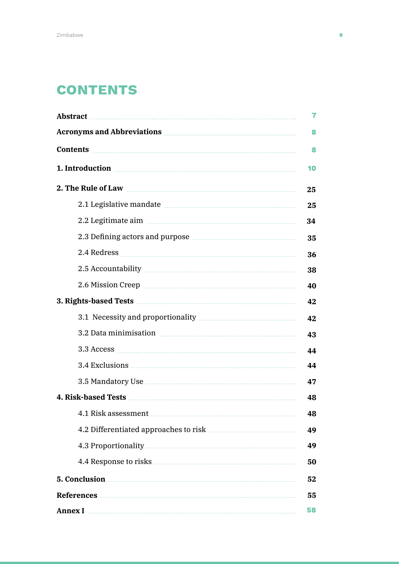# **CONTENTS**

| Acronyms and Abbreviations <b>Manual</b> Acronyms and Abbreviations                                                                                                                                                                                                               |    |
|-----------------------------------------------------------------------------------------------------------------------------------------------------------------------------------------------------------------------------------------------------------------------------------|----|
|                                                                                                                                                                                                                                                                                   | 8  |
| 1. Introduction <b>contracts</b> and <b>not all the set of the set of the set of the set of the set of the set of the set of the set of the set of the set of the set of the set of the set of the set of the set of the set of the s</b>                                         | 10 |
|                                                                                                                                                                                                                                                                                   | 25 |
|                                                                                                                                                                                                                                                                                   | 25 |
| 2.2 Legitimate aim manufacture and the state of the state aim and the state aim and the state and the state aim                                                                                                                                                                   | 34 |
|                                                                                                                                                                                                                                                                                   | 35 |
|                                                                                                                                                                                                                                                                                   | 36 |
|                                                                                                                                                                                                                                                                                   | 38 |
|                                                                                                                                                                                                                                                                                   | 40 |
|                                                                                                                                                                                                                                                                                   |    |
|                                                                                                                                                                                                                                                                                   | 42 |
|                                                                                                                                                                                                                                                                                   | 43 |
|                                                                                                                                                                                                                                                                                   | 44 |
|                                                                                                                                                                                                                                                                                   | 44 |
|                                                                                                                                                                                                                                                                                   | 47 |
|                                                                                                                                                                                                                                                                                   |    |
| 4.1 Risk assessment                                                                                                                                                                                                                                                               | 48 |
|                                                                                                                                                                                                                                                                                   | 49 |
|                                                                                                                                                                                                                                                                                   | 49 |
|                                                                                                                                                                                                                                                                                   | 50 |
| 5. Conclusion <b>Material Conclusion 5.</b> Conclusion <b>Material Conclusion 6.</b> Conclusion <b>6.</b> Conclusion <b>6.</b> Conclusion <b>6.</b> Conclusion <b>6.</b> Conclusion <b>6.</b> Conclusion <b>6.</b> Conclusion <b>6.</b> Conclusion <b>6.</b> Conclusion <b>6.</b> |    |
|                                                                                                                                                                                                                                                                                   |    |
|                                                                                                                                                                                                                                                                                   |    |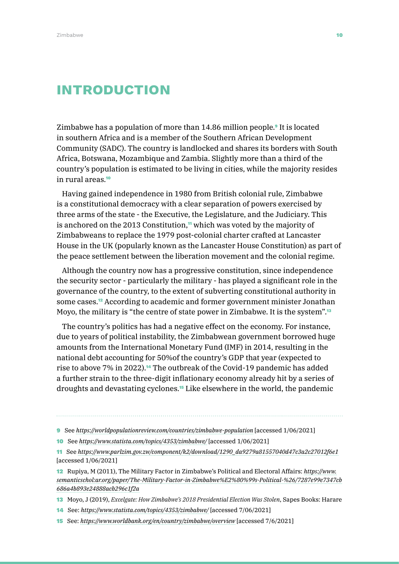# INTRODUCTION

Zimbabwe has a population of more than 14.86 million people.9 It is located in southern Africa and is a member of the Southern African Development Community (SADC). The country is landlocked and shares its borders with South Africa, Botswana, Mozambique and Zambia. Slightly more than a third of the country's population is estimated to be living in cities, while the majority resides in rural areas.<sup>10</sup>

Having gained independence in 1980 from British colonial rule, Zimbabwe is a constitutional democracy with a clear separation of powers exercised by three arms of the state - the Executive, the Legislature, and the Judiciary. This is anchored on the 2013 Constitution,<sup> $\eta$ </sup> which was voted by the majority of Zimbabweans to replace the 1979 post-colonial charter crafted at Lancaster House in the UK (popularly known as the Lancaster House Constitution) as part of the peace settlement between the liberation movement and the colonial regime.

Although the country now has a progressive constitution, since independence the security sector - particularly the military - has played a significant role in the governance of the country, to the extent of subverting constitutional authority in some cases.12 According to academic and former government minister Jonathan Moyo, the military is "the centre of state power in Zimbabwe. It is the system".<sup>13</sup>

The country's politics has had a negative effect on the economy. For instance, due to years of political instability, the Zimbabwean government borrowed huge amounts from the International Monetary Fund (IMF) in 2014, resulting in the national debt accounting for 50%of the country's GDP that year (expected to rise to above 7% in 2022).14 The outbreak of the Covid-19 pandemic has added a further strain to the three-digit inflationary economy already hit by a series of droughts and devastating cyclones.15 Like elsewhere in the world, the pandemic

- 10 See *<https://www.statista.com/topics/4353/zimbabwe/>* [accessed 1/06/2021]
- 11 See *[https://www.parlzim.gov.zw/component/k2/download/1290\\_da9279a81557040d47c3a2c27012f6e1](https://www.parlzim.gov.zw/component/k2/download/1290_da9279a81557040d47c3a2c27012f6e1)* [accessed 1/06/2021]
- 12 Rupiya, M (2011), The Military Factor in Zimbabwe's Political and Electoral Affairs: *[https://www.](about:blank) [semanticschol:ar.org/paper/The-Military-Factor-in-Zimbabwe%E2%80%99s-Political-%26/7287e99e7347cb](about:blank) [686a4b893e24888acb296c1f2a](about:blank)*
- 13 Moyo, J (2019), *Excelgate: How Zimbabwe's 2018 Presidential Election Was Stolen*, Sapes Books: Harare
- 14 See: *<https://www.statista.com/topics/4353/zimbabwe/>* [accessed 7/06/2021]
- 15 See: *<https://www.worldbank.org/en/country/zimbabwe/overview>* [accessed 7/6/2021]

<sup>9</sup> See *<https://worldpopulationreview.com/countries/zimbabwe-population>* [accessed 1/06/2021]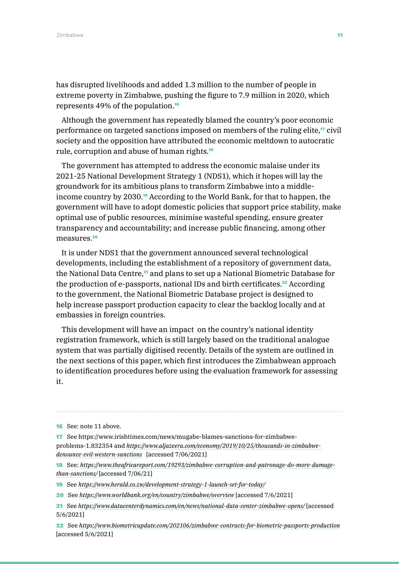has disrupted livelihoods and added 1.3 million to the number of people in extreme poverty in Zimbabwe, pushing the figure to 7.9 million in 2020, which represents 49% of the population.<sup>16</sup>

Although the government has repeatedly blamed the country's poor economic performance on targeted sanctions imposed on members of the ruling elite,17 civil society and the opposition have attributed the economic meltdown to autocratic rule, corruption and abuse of human rights.<sup>18</sup>

The government has attempted to address the economic malaise under its 2021-25 National Development Strategy 1 (NDS1), which it hopes will lay the groundwork for its ambitious plans to transform Zimbabwe into a middleincome country by 2030.19 According to the World Bank, for that to happen, the government will have to adopt domestic policies that support price stability, make optimal use of public resources, minimise wasteful spending, ensure greater transparency and accountability; and increase public financing, among other measures.<sup>20</sup>

It is under NDS1 that the government announced several technological developments, including the establishment of a repository of government data, the National Data Centre,<sup>21</sup> and plans to set up a National Biometric Database for the production of e-passports, national IDs and birth certificates.<sup>22</sup> According to the government, the National Biometric Database project is designed to help increase passport production capacity to clear the backlog locally and at embassies in foreign countries.

This development will have an impact on the country's national identity registration framework, which is still largely based on the traditional analogue system that was partially digitised recently. Details of the system are outlined in the next sections of this paper, which first introduces the Zimbabwean approach to identification procedures before using the evaluation framework for assessing it.

17 See [https://www.irishtimes.com/news/mugabe-blames-sanctions-for-zimbabwe](https://www.irishtimes.com/news/mugabe-blames-sanctions-for-zimbabwe-problems-1.832354)[problems-1.832354](https://www.irishtimes.com/news/mugabe-blames-sanctions-for-zimbabwe-problems-1.832354) and *[https://www.aljazeera.com/economy/2019/10/25/thousands-in-zimbabwe](https://www.aljazeera.com/economy/2019/10/25/thousands-in-zimbabwe-denounce-evil-western-sanctions)[denounce-evil-western-sanctions](https://www.aljazeera.com/economy/2019/10/25/thousands-in-zimbabwe-denounce-evil-western-sanctions)* [accessed 7/06/2021]

18 See: *[https://www.theafricareport.com/19293/zimbabwe-corruption-and-patronage-do-more-damage](https://www.theafricareport.com/19293/zimbabwe-corruption-and-patronage-do-more-damage-than-sanctions/)[than-sanctions/](https://www.theafricareport.com/19293/zimbabwe-corruption-and-patronage-do-more-damage-than-sanctions/)* [accessed 7/06/21]

19 See *<https://www.herald.co.zw/development-strategy-1-launch-set-for-today/>*

20 See *<https://www.worldbank.org/en/country/zimbabwe/overview>* [accessed 7/6/2021]

21 See *<https://www.datacenterdynamics.com/en/news/national-data-center-zimbabwe-opens/>* [accessed 5/6/2021]

22 See *<https://www.biometricupdate.com/202106/zimbabwe-contracts-for-biometric-passports-production>* [accessed 5/6/2021]

<sup>16</sup> See: note 11 above.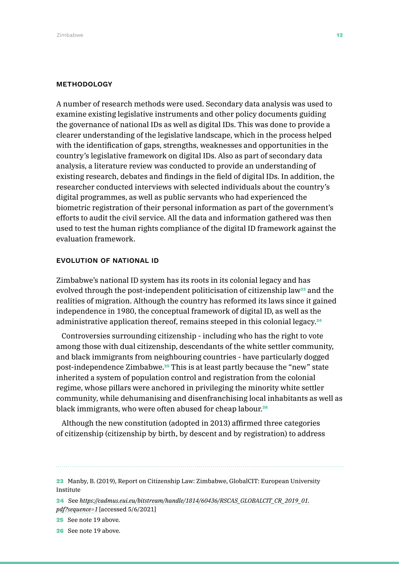#### METHODOLOGY

A number of research methods were used. Secondary data analysis was used to examine existing legislative instruments and other policy documents guiding the governance of national IDs as well as digital IDs. This was done to provide a clearer understanding of the legislative landscape, which in the process helped with the identification of gaps, strengths, weaknesses and opportunities in the country's legislative framework on digital IDs. Also as part of secondary data analysis, a literature review was conducted to provide an understanding of existing research, debates and findings in the field of digital IDs. In addition, the researcher conducted interviews with selected individuals about the country's digital programmes, as well as public servants who had experienced the biometric registration of their personal information as part of the government's efforts to audit the civil service. All the data and information gathered was then used to test the human rights compliance of the digital ID framework against the evaluation framework.

#### EVOLUTION OF NATIONAL ID

Zimbabwe's national ID system has its roots in its colonial legacy and has evolved through the post-independent politicisation of citizenship law<sup>23</sup> and the realities of migration. Although the country has reformed its laws since it gained independence in 1980, the conceptual framework of digital ID, as well as the administrative application thereof, remains steeped in this colonial legacy.<sup>24</sup>

Controversies surrounding citizenship - including who has the right to vote among those with dual citizenship, descendants of the white settler community, and black immigrants from neighbouring countries - have particularly dogged post-independence Zimbabwe.25 This is at least partly because the "new" state inherited a system of population control and registration from the colonial regime, whose pillars were anchored in privileging the minority white settler community, while dehumanising and disenfranchising local inhabitants as well as black immigrants, who were often abused for cheap labour.<sup>26</sup>

Although the new constitution (adopted in 2013) affirmed three categories of citizenship (citizenship by birth, by descent and by registration) to address

<sup>23</sup> Manby, B. (2019), Report on Citizenship Law: Zimbabwe, GlobalCIT: European University Institute

<sup>24</sup> See *[https://cadmus.eui.eu/bitstream/handle/1814/60436/RSCAS\\_GLOBALCIT\\_CR\\_2019\\_01.](https://cadmus.eui.eu/bitstream/handle/1814/60436/RSCAS_GLOBALCIT_CR_2019_01.pdf?sequence=1) [pdf?sequence=1](https://cadmus.eui.eu/bitstream/handle/1814/60436/RSCAS_GLOBALCIT_CR_2019_01.pdf?sequence=1)* [accessed 5/6/2021]

<sup>25</sup> See note 19 above.

<sup>26</sup> See note 19 above.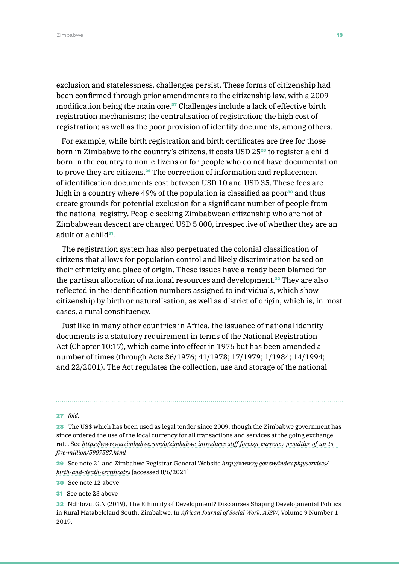exclusion and statelessness, challenges persist. These forms of citizenship had been confirmed through prior amendments to the citizenship law, with a 2009 modification being the main one.<sup>27</sup> Challenges include a lack of effective birth registration mechanisms; the centralisation of registration; the high cost of registration; as well as the poor provision of identity documents, among others.

For example, while birth registration and birth certificates are free for those born in Zimbabwe to the country's citizens, it costs USD 2528 to register a child born in the country to non-citizens or for people who do not have documentation to prove they are citizens.29 The correction of information and replacement of identification documents cost between USD 10 and USD 35. These fees are high in a country where 49% of the population is classified as poor $30$  and thus create grounds for potential exclusion for a significant number of people from the national registry. People seeking Zimbabwean citizenship who are not of Zimbabwean descent are charged USD 5 000, irrespective of whether they are an adult or a child $31$ .

The registration system has also perpetuated the colonial classification of citizens that allows for population control and likely discrimination based on their ethnicity and place of origin. These issues have already been blamed for the partisan allocation of national resources and development.<sup>32</sup> They are also reflected in the identification numbers assigned to individuals, which show citizenship by birth or naturalisation, as well as district of origin, which is, in most cases, a rural constituency.

Just like in many other countries in Africa, the issuance of national identity documents is a statutory requirement in terms of the National Registration Act (Chapter 10:17), which came into effect in 1976 but has been amended a number of times (through Acts 36/1976; 41/1978; 17/1979; 1/1984; 14/1994; and 22/2001). The Act regulates the collection, use and storage of the national

#### 27 *Ibid.*

28 The US\$ which has been used as legal tender since 2009, though the Zimbabwe government has since ordered the use of the local currency for all transactions and services at the going exchange rate. See *[https://www.voazimbabwe.com/a/zimbabwe-introduces-stiff-foreign-currency-penalties-of-up-to-](https://www.voazimbabwe.com/a/zimbabwe-introduces-stiff-foreign-currency-penalties-of-up-to--five-million/5907587.html) [five-million/5907587.html](https://www.voazimbabwe.com/a/zimbabwe-introduces-stiff-foreign-currency-penalties-of-up-to--five-million/5907587.html)*

29 See note 21 and Zimbabwe Registrar General Website *[http://www.rg.gov.zw/index.php/services/](http://www.rg.gov.zw/index.php/services/birth-and-death-certificates) [birth-and-death-certificates](http://www.rg.gov.zw/index.php/services/birth-and-death-certificates)* [accessed 8/6/2021]

30 See note 12 above

31 See note 23 above

32 Ndhlovu, G.N (2019), The Ethnicity of Development? Discourses Shaping Developmental Politics in Rural Matabeleland South, Zimbabwe, In *African Journal of Social Work: AJSW*, Volume 9 Number 1 2019.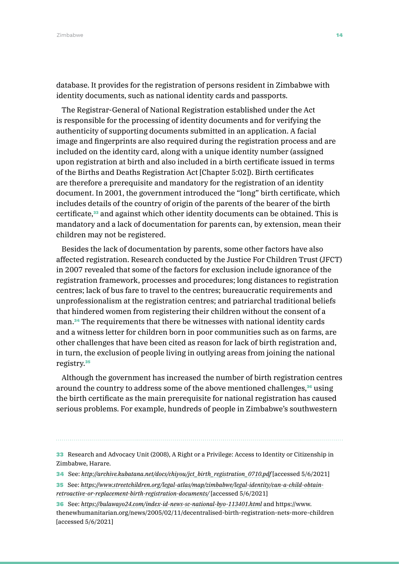database. It provides for the registration of persons resident in Zimbabwe with identity documents, such as national identity cards and passports.

The Registrar-General of National Registration established under the Act is responsible for the processing of identity documents and for verifying the authenticity of supporting documents submitted in an application. A facial image and fingerprints are also required during the registration process and are included on the identity card, along with a unique identity number (assigned upon registration at birth and also included in a birth certificate issued in terms of the Births and Deaths Registration Act [Chapter 5:02]). Birth certificates are therefore a prerequisite and mandatory for the registration of an identity document. In 2001, the government introduced the "long" birth certificate, which includes details of the country of origin of the parents of the bearer of the birth certificate,<sup>33</sup> and against which other identity documents can be obtained. This is mandatory and a lack of documentation for parents can, by extension, mean their children may not be registered.

Besides the lack of documentation by parents, some other factors have also affected registration. Research conducted by the Justice For Children Trust (JFCT) in 2007 revealed that some of the factors for exclusion include ignorance of the registration framework, processes and procedures; long distances to registration centres; lack of bus fare to travel to the centres; bureaucratic requirements and unprofessionalism at the registration centres; and patriarchal traditional beliefs that hindered women from registering their children without the consent of a man.34 The requirements that there be witnesses with national identity cards and a witness letter for children born in poor communities such as on farms, are other challenges that have been cited as reason for lack of birth registration and, in turn, the exclusion of people living in outlying areas from joining the national registry.<sup>35</sup>

Although the government has increased the number of birth registration centres around the country to address some of the above mentioned challenges,<sup>36</sup> using the birth certificate as the main prerequisite for national registration has caused serious problems. For example, hundreds of people in Zimbabwe's southwestern

- 34 See: *[http://archive.kubatana.net/docs/chiyou/jct\\_birth\\_registration\\_0710.pdf](http://archive.kubatana.net/docs/chiyou/jct_birth_registration_0710.pdf)* [accessed 5/6/2021]
- 35 See: *[https://www.streetchildren.org/legal-atlas/map/zimbabwe/legal-identity/can-a-child-obtain](https://www.streetchildren.org/legal-atlas/map/zimbabwe/legal-identity/can-a-child-obtain-retroactive-or-replacement-birth-registration-documents/)[retroactive-or-replacement-birth-registration-documents/](https://www.streetchildren.org/legal-atlas/map/zimbabwe/legal-identity/can-a-child-obtain-retroactive-or-replacement-birth-registration-documents/)* [accessed 5/6/2021]
- 36 See: *<https://bulawayo24.com/index-id-news-sc-national-byo-113401.html>* and [https://www.](https://www.thenewhumanitarian.org/news/2005/02/11/decentralised-birth-registration-nets-more-children) [thenewhumanitarian.org/news/2005/02/11/decentralised-birth-registration-nets-more-children](https://www.thenewhumanitarian.org/news/2005/02/11/decentralised-birth-registration-nets-more-children) [accessed 5/6/2021]

<sup>33</sup> Research and Advocacy Unit (2008), A Right or a Privilege: Access to Identity or Citizenship in Zimbabwe, Harare.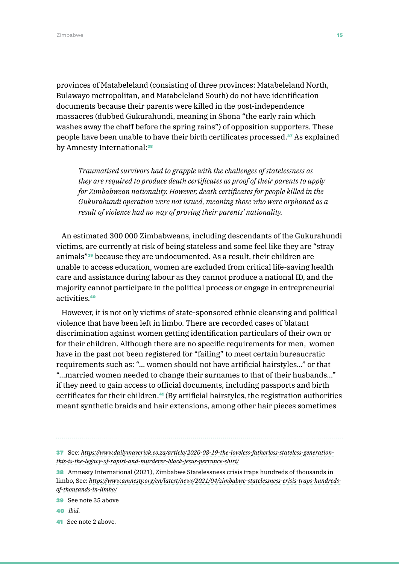provinces of Matabeleland (consisting of three provinces: Matabeleland North, Bulawayo metropolitan, and Matabeleland South) do not have identification documents because their parents were killed in the post-independence massacres (dubbed Gukurahundi, meaning in Shona "the early rain which washes away the chaff before the spring rains") of opposition supporters. These people have been unable to have their birth certificates processed.37 As explained by Amnesty International:<sup>38</sup>

*Traumatised survivors had to grapple with the challenges of statelessness as they are required to produce death certificates as proof of their parents to apply for Zimbabwean nationality. However, death certificates for people killed in the Gukurahundi operation were not issued, meaning those who were orphaned as a result of violence had no way of proving their parents' nationality.*

An estimated 300 000 Zimbabweans, including descendants of the Gukurahundi victims, are currently at risk of being stateless and some feel like they are "stray animals"39 because they are undocumented. As a result, their children are unable to access education, women are excluded from critical life-saving health care and assistance during labour as they cannot produce a national ID, and the majority cannot participate in the political process or engage in entrepreneurial activities.<sup>40</sup>

However, it is not only victims of state-sponsored ethnic cleansing and political violence that have been left in limbo. There are recorded cases of blatant discrimination against women getting identification particulars of their own or for their children. Although there are no specific requirements for men, women have in the past not been registered for "failing" to meet certain bureaucratic requirements such as: "… women should not have artificial hairstyles…" or that "…married women needed to change their surnames to that of their husbands…" if they need to gain access to official documents, including passports and birth certificates for their children.41 (By artificial hairstyles, the registration authorities meant synthetic braids and hair extensions, among other hair pieces sometimes

- 39 See note 35 above
- 40 *Ibid.*
- 41 See note 2 above.

<sup>37</sup> See: *[https://www.dailymaverick.co.za/article/2020-08-19-the-loveless-fatherless-stateless-generation](https://www.dailymaverick.co.za/article/2020-08-19-the-loveless-fatherless-stateless-generation-this)[this-is-the-legacy-of-rapist-and-murderer-black-jesus-perrance-shiri/](https://www.dailymaverick.co.za/article/2020-08-19-the-loveless-fatherless-stateless-generation-this)*

<sup>38</sup> Amnesty International (2021), Zimbabwe Statelessness crisis traps hundreds of thousands in limbo, See: *[https://www.amnesty.org/en/latest/news/2021/04/zimbabwe-statelessness-crisis-traps-hundreds](https://www.amnesty.org/en/latest/news/2021/04/zimbabwe-statelessness-crisis-traps-hundreds-of-thousands-in-limbo/)[of-thousands-in-limbo/](https://www.amnesty.org/en/latest/news/2021/04/zimbabwe-statelessness-crisis-traps-hundreds-of-thousands-in-limbo/)*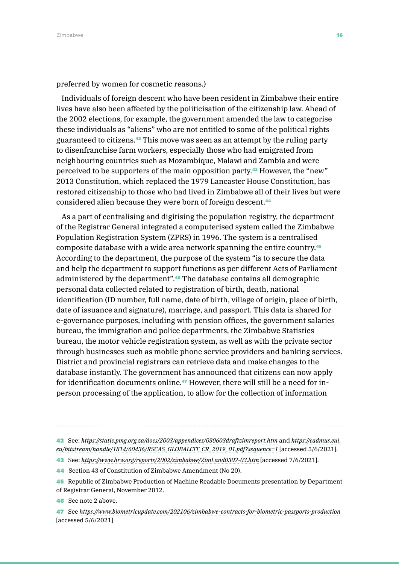preferred by women for cosmetic reasons.)

Individuals of foreign descent who have been resident in Zimbabwe their entire lives have also been affected by the politicisation of the citizenship law. Ahead of the 2002 elections, for example, the government amended the law to categorise these individuals as "aliens" who are not entitled to some of the political rights guaranteed to citizens.42 This move was seen as an attempt by the ruling party to disenfranchise farm workers, especially those who had emigrated from neighbouring countries such as Mozambique, Malawi and Zambia and were perceived to be supporters of the main opposition party.43 However, the "new" 2013 Constitution, which replaced the 1979 Lancaster House Constitution, has restored citizenship to those who had lived in Zimbabwe all of their lives but were considered alien because they were born of foreign descent.<sup>44</sup>

As a part of centralising and digitising the population registry, the department of the Registrar General integrated a computerised system called the Zimbabwe Population Registration System (ZPRS) in 1996. The system is a centralised composite database with a wide area network spanning the entire country.<sup>45</sup> According to the department, the purpose of the system "is to secure the data and help the department to support functions as per different Acts of Parliament administered by the department".46 The database contains all demographic personal data collected related to registration of birth, death, national identification (ID number, full name, date of birth, village of origin, place of birth, date of issuance and signature), marriage, and passport. This data is shared for e-governance purposes, including with pension offices, the government salaries bureau, the immigration and police departments, the Zimbabwe Statistics bureau, the motor vehicle registration system, as well as with the private sector through businesses such as mobile phone service providers and banking services. District and provincial registrars can retrieve data and make changes to the database instantly. The government has announced that citizens can now apply for identification documents online.47 However, there will still be a need for inperson processing of the application, to allow for the collection of information

45 Republic of Zimbabwe Production of Machine Readable Documents presentation by Department of Registrar General, November 2012.

47 See *<https://www.biometricupdate.com/202106/zimbabwe-contracts-for-biometric-passports-production>* [accessed 5/6/2021]

<sup>42</sup> See: *<https://static.pmg.org.za/docs/2003/appendices/030603draftzimreport.htm>* and *[https://cadmus.eui.](https://cadmus.eui.eu/bitstream/handle/1814/60436/RSCAS_GLOBALCIT_CR_2019_01.pdf?sequence=1) [eu/bitstream/handle/1814/60436/RSCAS\\_GLOBALCIT\\_CR\\_2019\\_01.pdf?sequence=1](https://cadmus.eui.eu/bitstream/handle/1814/60436/RSCAS_GLOBALCIT_CR_2019_01.pdf?sequence=1)* [accessed 5/6/2021].

<sup>43</sup> See: *<https://www.hrw.org/reports/2002/zimbabwe/ZimLand0302-03.htm>* [accessed 7/6/2021].

<sup>44</sup> Section 43 of Constitution of Zimbabwe Amendment (No 20).

<sup>46</sup> See note 2 above.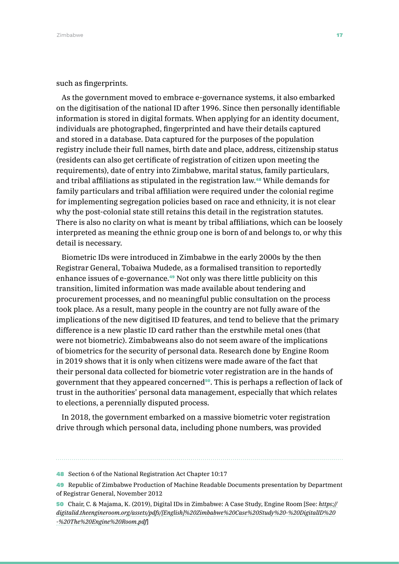#### such as fingerprints.

As the government moved to embrace e-governance systems, it also embarked on the digitisation of the national ID after 1996. Since then personally identifiable information is stored in digital formats. When applying for an identity document, individuals are photographed, fingerprinted and have their details captured and stored in a database. Data captured for the purposes of the population registry include their full names, birth date and place, address, citizenship status (residents can also get certificate of registration of citizen upon meeting the requirements), date of entry into Zimbabwe, marital status, family particulars, and tribal affiliations as stipulated in the registration law.48 While demands for family particulars and tribal affiliation were required under the colonial regime for implementing segregation policies based on race and ethnicity, it is not clear why the post-colonial state still retains this detail in the registration statutes. There is also no clarity on what is meant by tribal affiliations, which can be loosely interpreted as meaning the ethnic group one is born of and belongs to, or why this detail is necessary.

Biometric IDs were introduced in Zimbabwe in the early 2000s by the then Registrar General, Tobaiwa Mudede, as a formalised transition to reportedly enhance issues of e-governance.49 Not only was there little publicity on this transition, limited information was made available about tendering and procurement processes, and no meaningful public consultation on the process took place. As a result, many people in the country are not fully aware of the implications of the new digitised ID features, and tend to believe that the primary difference is a new plastic ID card rather than the erstwhile metal ones (that were not biometric). Zimbabweans also do not seem aware of the implications of biometrics for the security of personal data. Research done by Engine Room in 2019 shows that it is only when citizens were made aware of the fact that their personal data collected for biometric voter registration are in the hands of government that they appeared concerned<sup>50</sup>. This is perhaps a reflection of lack of trust in the authorities' personal data management, especially that which relates to elections, a perennially disputed process.

In 2018, the government embarked on a massive biometric voter registration drive through which personal data, including phone numbers, was provided

<sup>48</sup> Section 6 of the National Registration Act Chapter 10:17

<sup>49</sup> Republic of Zimbabwe Production of Machine Readable Documents presentation by Department of Registrar General, November 2012

<sup>50</sup> Chair, C. & Majama, K. (2019), Digital IDs in Zimbabwe: A Case Study, Engine Room [See: *[https://](https://digitalid.theengineroom.org/assets/pdfs/%5bEnglish%5d%20Zimbabwe%20Case%20Study%20-%20DigitalID%20-%20The%20Engine%20Room.pdf) [digitalid.theengineroom.org/assets/pdfs/\[English\]%20Zimbabwe%20Case%20Study%20-%20DigitalID%20](https://digitalid.theengineroom.org/assets/pdfs/%5bEnglish%5d%20Zimbabwe%20Case%20Study%20-%20DigitalID%20-%20The%20Engine%20Room.pdf) [-%20The%20Engine%20Room.pdf](https://digitalid.theengineroom.org/assets/pdfs/%5bEnglish%5d%20Zimbabwe%20Case%20Study%20-%20DigitalID%20-%20The%20Engine%20Room.pdf)*]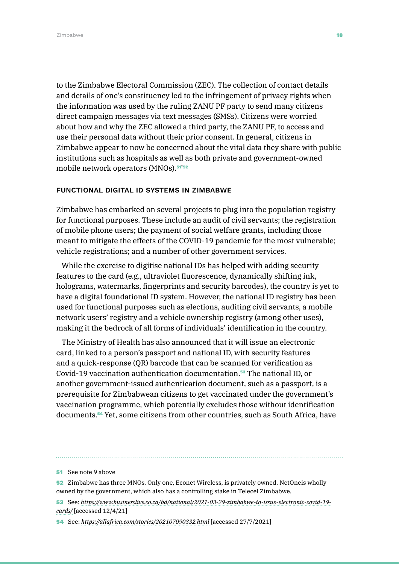to the Zimbabwe Electoral Commission (ZEC). The collection of contact details and details of one's constituency led to the infringement of privacy rights when the information was used by the ruling ZANU PF party to send many citizens direct campaign messages via text messages (SMSs). Citizens were worried about how and why the ZEC allowed a third party, the ZANU PF, to access and use their personal data without their prior consent. In general, citizens in Zimbabwe appear to now be concerned about the vital data they share with public institutions such as hospitals as well as both private and government-owned mobile network operators (MNOs).<sup>51'52</sup>

#### FUNCTIONAL DIGITAL ID SYSTEMS IN ZIMBABWE

Zimbabwe has embarked on several projects to plug into the population registry for functional purposes. These include an audit of civil servants; the registration of mobile phone users; the payment of social welfare grants, including those meant to mitigate the effects of the COVID-19 pandemic for the most vulnerable; vehicle registrations; and a number of other government services.

While the exercise to digitise national IDs has helped with adding security features to the card (e.g., ultraviolet fluorescence, dynamically shifting ink, holograms, watermarks, fingerprints and security barcodes), the country is yet to have a digital foundational ID system. However, the national ID registry has been used for functional purposes such as elections, auditing civil servants, a mobile network users' registry and a vehicle ownership registry (among other uses), making it the bedrock of all forms of individuals' identification in the country.

The Ministry of Health has also announced that it will issue an electronic card, linked to a person's passport and national ID, with security features and a quick-response (QR) barcode that can be scanned for verification as Covid-19 vaccination authentication documentation.53 The national ID, or another government-issued authentication document, such as a passport, is a prerequisite for Zimbabwean citizens to get vaccinated under the government's vaccination programme, which potentially excludes those without identification documents.54 Yet, some citizens from other countries, such as South Africa, have

<sup>51</sup> See note 9 above

<sup>52</sup> Zimbabwe has three MNOs. Only one, Econet Wireless, is privately owned. NetOneis wholly owned by the government, which also has a controlling stake in Telecel Zimbabwe.

<sup>53</sup> See: *[https://www.businesslive.co.za/bd/national/2021-03-29-zimbabwe-to-issue-electronic-covid-19](https://www.businesslive.co.za/bd/national/2021-03-29-zimbabwe-to-issue-electronic-covid-19-cards/) [cards/](https://www.businesslive.co.za/bd/national/2021-03-29-zimbabwe-to-issue-electronic-covid-19-cards/)* [accessed 12/4/21]

<sup>54</sup> See: *<https://allafrica.com/stories/202107090332.html>* [accessed 27/7/2021]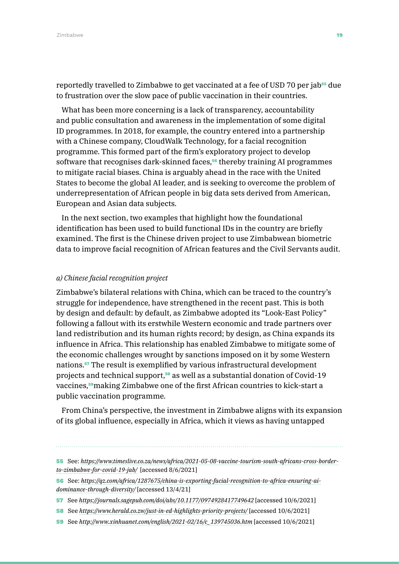reportedly travelled to Zimbabwe to get vaccinated at a fee of USD 70 per jab55 due to frustration over the slow pace of public vaccination in their countries.

What has been more concerning is a lack of transparency, accountability and public consultation and awareness in the implementation of some digital ID programmes. In 2018, for example, the country entered into a partnership with a Chinese company, CloudWalk Technology, for a facial recognition programme. This formed part of the firm's exploratory project to develop software that recognises dark-skinned faces,<sup>56</sup> thereby training AI programmes to mitigate racial biases. China is arguably ahead in the race with the United States to become the global AI leader, and is seeking to overcome the problem of underrepresentation of African people in big data sets derived from American, European and Asian data subjects.

In the next section, two examples that highlight how the foundational identification has been used to build functional IDs in the country are briefly examined. The first is the Chinese driven project to use Zimbabwean biometric data to improve facial recognition of African features and the Civil Servants audit.

#### *a) Chinese facial recognition project*

Zimbabwe's bilateral relations with China, which can be traced to the country's struggle for independence, have strengthened in the recent past. This is both by design and default: by default, as Zimbabwe adopted its "Look-East Policy" following a fallout with its erstwhile Western economic and trade partners over land redistribution and its human rights record; by design, as China expands its influence in Africa. This relationship has enabled Zimbabwe to mitigate some of the economic challenges wrought by sanctions imposed on it by some Western nations.57 The result is exemplified by various infrastructural development projects and technical support,<sup>58</sup> as well as a substantial donation of Covid-19 vaccines,<sup>59</sup>making Zimbabwe one of the first African countries to kick-start a public vaccination programme.

From China's perspective, the investment in Zimbabwe aligns with its expansion of its global influence, especially in Africa, which it views as having untapped

- 58 See *<https://www.herald.co.zw/just-in-ed-highlights-priority-projects/>* [accessed 10/6/2021]
- 59 See *[http://www.xinhuanet.com/english/2021-02/16/c\\_139745036.htm](http://www.xinhuanet.com/english/2021-02/16/c_139745036.htm)* [accessed 10/6/2021]

<sup>55</sup> See: *[https://www.timeslive.co.za/news/africa/2021-05-08-vaccine-tourism-south-africans-cross-border](https://www.timeslive.co.za/news/africa/2021-05-08-vaccine-tourism-south-africans-cross-border-to-zimbabwe-for-covid-19-jab/)[to-zimbabwe-for-covid-19-jab/](https://www.timeslive.co.za/news/africa/2021-05-08-vaccine-tourism-south-africans-cross-border-to-zimbabwe-for-covid-19-jab/)* [accessed 8/6/2021]

<sup>56</sup> See: *[https://qz.com/africa/1287675/china-is-exporting-facial-recognition-to-africa-ensuring-ai](https://qz.com/africa/1287675/china-is-exporting-facial-recognition-to-africa-ensuring-ai-dominance-through-diversity/)[dominance-through-diversity/](https://qz.com/africa/1287675/china-is-exporting-facial-recognition-to-africa-ensuring-ai-dominance-through-diversity/)* [accessed 13/4/21]

<sup>57</sup> See *<https://journals.sagepub.com/doi/abs/10.1177/0974928417749642>* [accessed 10/6/2021]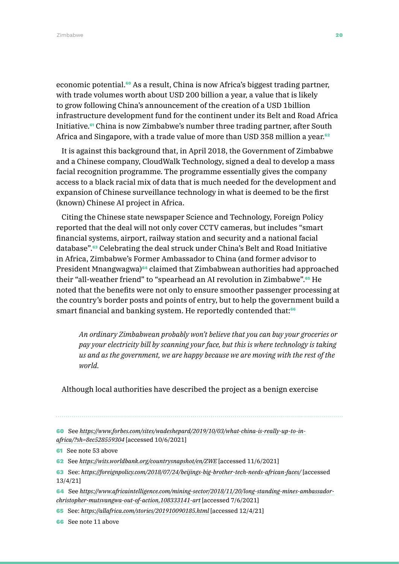Zimbabwe 20 April 2014 a 2014 a 2022 Anii 2023 Anii 2023 Anii 2023 Anii 2023 Anii 2023 Anii 2023 Anii 2023 Ani

economic potential.60 As a result, China is now Africa's biggest trading partner, with trade volumes worth about USD 200 billion a year, a value that is likely to grow following China's announcement of the creation of a USD 1billion infrastructure development fund for the continent under its Belt and Road Africa Initiative.61 China is now Zimbabwe's number three trading partner, after South Africa and Singapore, with a trade value of more than USD 358 million a year.<sup>62</sup>

It is against this background that, in April 2018, the Government of Zimbabwe and a Chinese company, CloudWalk Technology, signed a deal to develop a mass facial recognition programme. The programme essentially gives the company access to a black racial mix of data that is much needed for the development and expansion of Chinese surveillance technology in what is deemed to be the first (known) Chinese AI project in Africa.

Citing the Chinese state newspaper Science and Technology, Foreign Policy reported that the deal will not only cover CCTV cameras, but includes "smart financial systems, airport, railway station and security and a national facial database".63 Celebrating the deal struck under China's Belt and Road Initiative in Africa, Zimbabwe's Former Ambassador to China (and former advisor to President Mnangwagwa)<sup>64</sup> claimed that Zimbabwean authorities had approached their "all-weather friend" to "spearhead an AI revolution in Zimbabwe".<sup>65</sup> He noted that the benefits were not only to ensure smoother passenger processing at the country's border posts and points of entry, but to help the government build a smart financial and banking system. He reportedly contended that:<sup>66</sup>

*An ordinary Zimbabwean probably won't believe that you can buy your groceries or pay your electricity bill by scanning your face, but this is where technology is taking us and as the government, we are happy because we are moving with the rest of the world.* 

Although local authorities have described the project as a benign exercise

60 See *[https://www.forbes.com/sites/wadeshepard/2019/10/03/what-china-is-really-up-to-in](https://www.forbes.com/sites/wadeshepard/2019/10/03/what-china-is-really-up-to-in-africa/?sh=8ec528559304)[africa/?sh=8ec528559304](https://www.forbes.com/sites/wadeshepard/2019/10/03/what-china-is-really-up-to-in-africa/?sh=8ec528559304)* [accessed 10/6/2021]

**61** See note 53 above

62 See *<https://wits.worldbank.org/countrysnapshot/en/ZWE>* [accessed 11/6/2021]

63 See: *<https://foreignpolicy.com/2018/07/24/beijings-big-brother-tech-needs-african-faces/>* [accessed 13/4/21]

64 See *[https://www.africaintelligence.com/mining-sector/2018/11/20/long-standing-mines-ambassador](https://www.africaintelligence.com/mining-sector/2018/11/20/long-standing-mines-ambassador-christopher-mutsvangwa-out-of-action,108333141-art)[christopher-mutsvangwa-out-of-action,108333141-art](https://www.africaintelligence.com/mining-sector/2018/11/20/long-standing-mines-ambassador-christopher-mutsvangwa-out-of-action,108333141-art)* [accessed 7/6/2021]

65 See: *<https://allafrica.com/stories/201910090185.html>* [accessed 12/4/21]

66 See note 11 above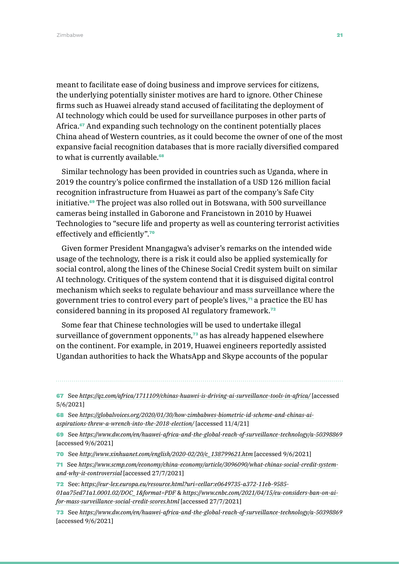meant to facilitate ease of doing business and improve services for citizens, the underlying potentially sinister motives are hard to ignore. Other Chinese firms such as Huawei already stand accused of facilitating the deployment of AI technology which could be used for surveillance purposes in other parts of Africa.<sup>67</sup> And expanding such technology on the continent potentially places China ahead of Western countries, as it could become the owner of one of the most expansive facial recognition databases that is more racially diversified compared to what is currently available.<sup>68</sup>

Similar technology has been provided in countries such as Uganda, where in 2019 the country's police confirmed the installation of a USD 126 million facial recognition infrastructure from Huawei as part of the company's Safe City initiative.<sup>69</sup> The project was also rolled out in Botswana, with 500 surveillance cameras being installed in Gaborone and Francistown in 2010 by Huawei Technologies to "secure life and property as well as countering terrorist activities effectively and efficiently".<sup>70</sup>

Given former President Mnangagwa's adviser's remarks on the intended wide usage of the technology, there is a risk it could also be applied systemically for social control, along the lines of the Chinese Social Credit system built on similar AI technology. Critiques of the system contend that it is disguised digital control mechanism which seeks to regulate behaviour and mass surveillance where the government tries to control every part of people's lives, $\tau$  a practice the EU has considered banning in its proposed AI regulatory framework.<sup>72</sup>

Some fear that Chinese technologies will be used to undertake illegal surveillance of government opponents, $73$  as has already happened elsewhere on the continent. For example, in 2019, Huawei engineers reportedly assisted Ugandan authorities to hack the WhatsApp and Skype accounts of the popular

67 See *<https://qz.com/africa/1711109/chinas-huawei-is-driving-ai-surveillance-tools-in-africa/>* [accessed 5/6/2021]

68 See *[https://globalvoices.org/2020/01/30/how-zimbabwes-biometric-id-scheme-and-chinas-ai](https://globalvoices.org/2020/01/30/how-zimbabwes-biometric-id-scheme-and-chinas-ai-aspirations-threw-a-wrench-into-the-2018-election/)[aspirations-threw-a-wrench-into-the-2018-election/](https://globalvoices.org/2020/01/30/how-zimbabwes-biometric-id-scheme-and-chinas-ai-aspirations-threw-a-wrench-into-the-2018-election/)* [accessed 11/4/21]

69 See *<https://www.dw.com/en/huawei-africa-and-the-global-reach-of-surveillance-technology/a-50398869>* [accessed 9/6/2021]

70 See *[http://www.xinhuanet.com/english/2020-02/20/c\\_138799621.htm](http://www.xinhuanet.com/english/2020-02/20/c_138799621.htm)* [accessed 9/6/2021]

71 See *[https://www.scmp.com/economy/china-economy/article/3096090/what-chinas-social-credit-system](https://www.scmp.com/economy/china-economy/article/3096090/what-chinas-social-credit-system-and-why-it-controversial)[and-why-it-controversial](https://www.scmp.com/economy/china-economy/article/3096090/what-chinas-social-credit-system-and-why-it-controversial)* [accessed 27/7/2021]

72 See: *[https://eur-lex.europa.eu/resource.html?uri=cellar:e0649735-a372-11eb-9585-](https://eur-lex.europa.eu/resource.html?uri=cellar:e0649735-a372-11eb-9585-01aa75ed71a1.0001.02/DOC_1&format=PDF) [01aa75ed71a1.0001.02/DOC\\_1&format=PDF](https://eur-lex.europa.eu/resource.html?uri=cellar:e0649735-a372-11eb-9585-01aa75ed71a1.0001.02/DOC_1&format=PDF)* & *[https://www.cnbc.com/2021/04/15/eu-considers-ban-on-ai](https://www.cnbc.com/2021/04/15/eu-considers-ban-on-ai-for-mass-surveillance-social-credit-scores.html)[for-mass-surveillance-social-credit-scores.html](https://www.cnbc.com/2021/04/15/eu-considers-ban-on-ai-for-mass-surveillance-social-credit-scores.html)* [accessed 27/7/2021]

73 See *<https://www.dw.com/en/huawei-africa-and-the-global-reach-of-surveillance-technology/a-50398869>* [accessed 9/6/2021]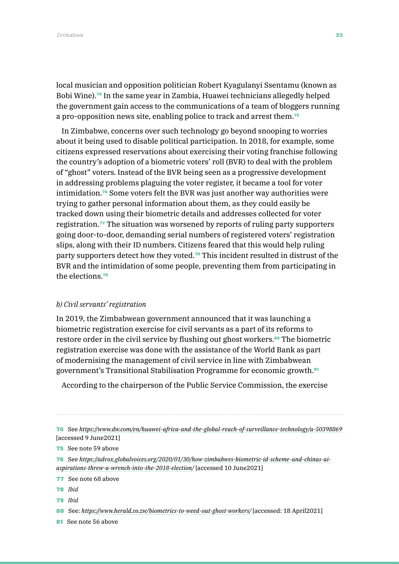local musician and opposition politician Robert Kyagulanyi Ssentamu (known as Bobi Wine).74 In the same year in Zambia, Huawei technicians allegedly helped the government gain access to the communications of a team of bloggers running a pro-opposition news site, enabling police to track and arrest them.<sup>75</sup>

In Zimbabwe, concerns over such technology go beyond snooping to worries about it being used to disable political participation. In 2018, for example, some citizens expressed reservations about exercising their voting franchise following the country's adoption of a biometric voters' roll (BVR) to deal with the problem of "ghost" voters. Instead of the BVR being seen as a progressive development in addressing problems plaguing the voter register, it became a tool for voter intimidation.76 Some voters felt the BVR was just another way authorities were trying to gather personal information about them, as they could easily be tracked down using their biometric details and addresses collected for voter registration.77 The situation was worsened by reports of ruling party supporters going door-to-door, demanding serial numbers of registered voters' registration slips, along with their ID numbers. Citizens feared that this would help ruling party supporters detect how they voted.78 This incident resulted in distrust of the BVR and the intimidation of some people, preventing them from participating in the elections<sup>79</sup>

#### *b) Civil servants' registration*

In 2019, the Zimbabwean government announced that it was launching a biometric registration exercise for civil servants as a part of its reforms to restore order in the civil service by flushing out ghost workers.<sup>80</sup> The biometric registration exercise was done with the assistance of the World Bank as part of modernising the management of civil service in line with Zimbabwean government's Transitional Stabilisation Programme for economic growth.<sup>81</sup>

According to the chairperson of the Public Service Commission, the exercise

74 See *<https://www.dw.com/en/huawei-africa-and-the-global-reach-of-surveillance-technology/a-50398869>* [accessed 9 June2021]

75 See note 59 above

76 See *[https://advox.globalvoices.org/2020/01/30/how-zimbabwes-biometric-id-scheme-and-chinas-ai](https://advox.globalvoices.org/2020/01/30/how-zimbabwes-biometric-id-scheme-and-chinas-ai-aspirations-threw-a-wrench-into-the-2018-election/)[aspirations-threw-a-wrench-into-the-2018-election/](https://advox.globalvoices.org/2020/01/30/how-zimbabwes-biometric-id-scheme-and-chinas-ai-aspirations-threw-a-wrench-into-the-2018-election/)* [accessed 10 June2021]

77 See note 68 above

78 *Ibid*

79 *Ibid*

80 See: *<https://www.herald.co.zw/biometrics-to-weed-out-ghost-workers/>* [accessed: 18 April2021]

81 See note 56 above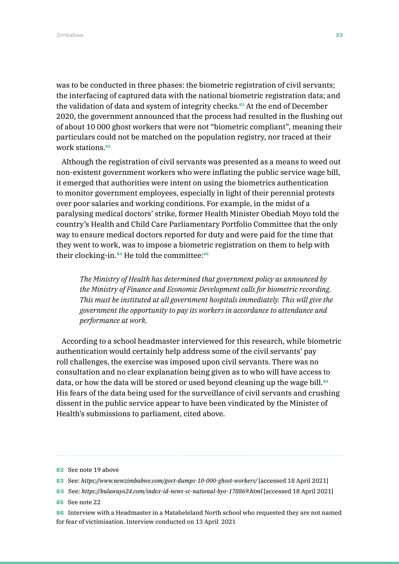was to be conducted in three phases: the biometric registration of civil servants; the interfacing of captured data with the national biometric registration data; and the validation of data and system of integrity checks.<sup>82</sup> At the end of December 2020, the government announced that the process had resulted in the flushing out of about 10 000 ghost workers that were not "biometric compliant", meaning their particulars could not be matched on the population registry, nor traced at their work stations.<sup>83</sup>

Although the registration of civil servants was presented as a means to weed out non-existent government workers who were inflating the public service wage bill, it emerged that authorities were intent on using the biometrics authentication to monitor government employees, especially in light of their perennial protests over poor salaries and working conditions. For example, in the midst of a paralysing medical doctors' strike, former Health Minister Obediah Moyo told the country's Health and Child Care Parliamentary Portfolio Committee that the only way to ensure medical doctors reported for duty and were paid for the time that they went to work, was to impose a biometric registration on them to help with their clocking-in.<sup>84</sup> He told the committee:<sup>85</sup>

*The Ministry of Health has determined that government policy as announced by the Ministry of Finance and Economic Development calls for biometric recording. This must be instituted at all government hospitals immediately. This will give the government the opportunity to pay its workers in accordance to attendance and performance at work.* 

According to a school headmaster interviewed for this research, while biometric authentication would certainly help address some of the civil servants' pay roll challenges, the exercise was imposed upon civil servants. There was no consultation and no clear explanation being given as to who will have access to data, or how the data will be stored or used beyond cleaning up the wage bill.<sup>86</sup> His fears of the data being used for the surveillance of civil servants and crushing dissent in the public service appear to have been vindicated by the Minister of Health's submissions to parliament, cited above.

- 85 See note 22
- 86 Interview with a Headmaster in a Matabeleland North school who requested they are not named for fear of victimisation. Interview conducted on 13 April 2021

<sup>82</sup> See note 19 above

<sup>83</sup> See: *<https://www.newzimbabwe.com/govt-dumps-10-000-ghost-workers/>* [accessed 18 April 2021]

<sup>84</sup> See: *<https://bulawayo24.com/index-id-news-sc-national-byo-178869.html>* [accessed 18 April 2021]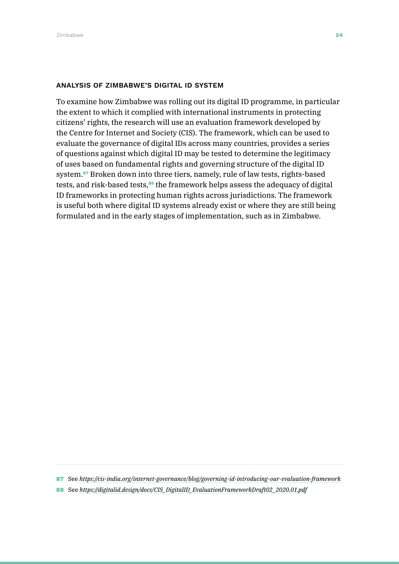#### ANALYSIS OF ZIMBABWE'S DIGITAL ID SYSTEM

To examine how Zimbabwe was rolling out its digital ID programme, in particular the extent to which it complied with international instruments in protecting citizens' rights, the research will use an evaluation framework developed by the Centre for Internet and Society (CIS). The framework, which can be used to evaluate the governance of digital IDs across many countries, provides a series of questions against which digital ID may be tested to determine the legitimacy of uses based on fundamental rights and governing structure of the digital ID system.87 Broken down into three tiers, namely, rule of law tests, rights-based tests, and risk-based tests,<sup>38</sup> the framework helps assess the adequacy of digital ID frameworks in protecting human rights across jurisdictions. The framework is useful both where digital ID systems already exist or where they are still being formulated and in the early stages of implementation, such as in Zimbabwe.

87 See *<https://cis-india.org/internet-governance/blog/governing-id-introducing-our-evaluation-framework>*

88 See *[https://digitalid.design/docs/CIS\\_DigitalID\\_EvaluationFrameworkDraft02\\_2020.01.pdf](https://digitalid.design/docs/CIS_DigitalID_EvaluationFrameworkDraft02_2020.01.pdf)*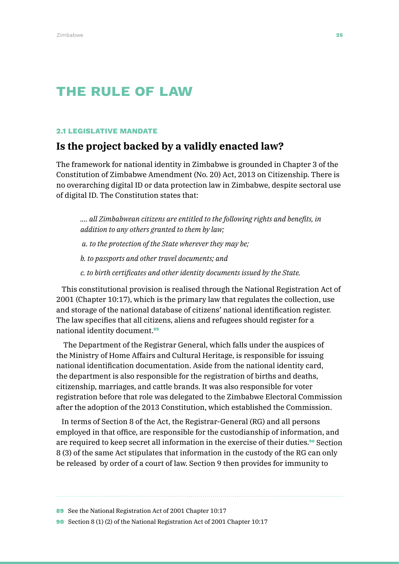# The rule of law

#### 2.1 LEGISLATIVE MANDATE

## **Is the project backed by a validly enacted law?**

The framework for national identity in Zimbabwe is grounded in Chapter 3 of the Constitution of Zimbabwe Amendment (No. 20) Act, 2013 on Citizenship. There is no overarching digital ID or data protection law in Zimbabwe, despite sectoral use of digital ID. The Constitution states that:

*…. all Zimbabwean citizens are entitled to the following rights and benefits, in addition to any others granted to them by law; a. to the protection of the State wherever they may be;* 

*b. to passports and other travel documents; and* 

*c. to birth certificates and other identity documents issued by the State.*

This constitutional provision is realised through the National Registration Act of 2001 (Chapter 10:17), which is the primary law that regulates the collection, use and storage of the national database of citizens' national identification register. The law specifies that all citizens, aliens and refugees should register for a national identity document.<sup>89</sup>

 The Department of the Registrar General, which falls under the auspices of the Ministry of Home Affairs and Cultural Heritage, is responsible for issuing national identification documentation. Aside from the national identity card, the department is also responsible for the registration of births and deaths, citizenship, marriages, and cattle brands. It was also responsible for voter registration before that role was delegated to the Zimbabwe Electoral Commission after the adoption of the 2013 Constitution, which established the Commission.

In terms of Section 8 of the Act, the Registrar-General (RG) and all persons employed in that office, are responsible for the custodianship of information, and are required to keep secret all information in the exercise of their duties.<sup>90</sup> Section 8 (3) of the same Act stipulates that information in the custody of the RG can only be released by order of a court of law. Section 9 then provides for immunity to

89 See the National Registration Act of 2001 Chapter 10:17

90 Section 8 (1) (2) of the National Registration Act of 2001 Chapter 10:17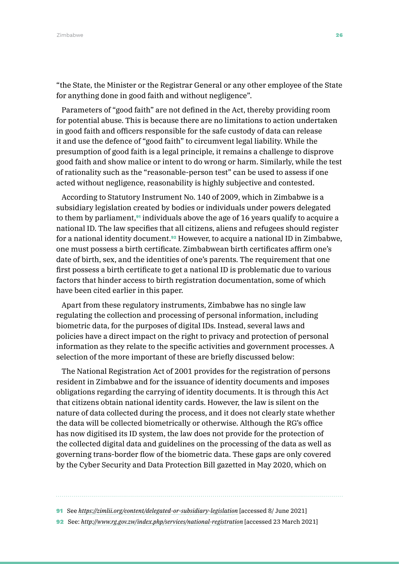"the State, the Minister or the Registrar General or any other employee of the State for anything done in good faith and without negligence".

Parameters of "good faith" are not defined in the Act, thereby providing room for potential abuse. This is because there are no limitations to action undertaken in good faith and officers responsible for the safe custody of data can release it and use the defence of "good faith" to circumvent legal liability. While the presumption of good faith is a legal principle, it remains a challenge to disprove good faith and show malice or intent to do wrong or harm. Similarly, while the test of rationality such as the "reasonable-person test" can be used to assess if one acted without negligence, reasonability is highly subjective and contested.

According to Statutory Instrument No. 140 of 2009, which in Zimbabwe is a subsidiary legislation created by bodies or individuals under powers delegated to them by parliament,<sup>91</sup> individuals above the age of 16 years qualify to acquire a national ID. The law specifies that all citizens, aliens and refugees should register for a national identity document.92 However, to acquire a national ID in Zimbabwe, one must possess a birth certificate. Zimbabwean birth certificates affirm one's date of birth, sex, and the identities of one's parents. The requirement that one first possess a birth certificate to get a national ID is problematic due to various factors that hinder access to birth registration documentation, some of which have been cited earlier in this paper.

Apart from these regulatory instruments, Zimbabwe has no single law regulating the collection and processing of personal information, including biometric data, for the purposes of digital IDs. Instead, several laws and policies have a direct impact on the right to privacy and protection of personal information as they relate to the specific activities and government processes. A selection of the more important of these are briefly discussed below:

The National Registration Act of 2001 provides for the registration of persons resident in Zimbabwe and for the issuance of identity documents and imposes obligations regarding the carrying of identity documents. It is through this Act that citizens obtain national identity cards. However, the law is silent on the nature of data collected during the process, and it does not clearly state whether the data will be collected biometrically or otherwise. Although the RG's office has now digitised its ID system, the law does not provide for the protection of the collected digital data and guidelines on the processing of the data as well as governing trans-border flow of the biometric data. These gaps are only covered by the Cyber Security and Data Protection Bill gazetted in May 2020, which on

92 See: *<http://www.rg.gov.zw/index.php/services/national-registration>* [accessed 23 March 2021]

<sup>91</sup> See *<https://zimlii.org/content/delegated-or-subsidiary-legislation>* [accessed 8/ June 2021]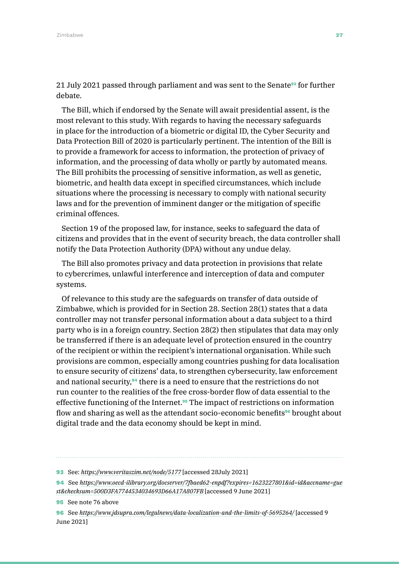21 July 2021 passed through parliament and was sent to the Senate<sup>93</sup> for further debate.

The Bill, which if endorsed by the Senate will await presidential assent, is the most relevant to this study. With regards to having the necessary safeguards in place for the introduction of a biometric or digital ID, the Cyber Security and Data Protection Bill of 2020 is particularly pertinent. The intention of the Bill is to provide a framework for access to information, the protection of privacy of information, and the processing of data wholly or partly by automated means. The Bill prohibits the processing of sensitive information, as well as genetic, biometric, and health data except in specified circumstances, which include situations where the processing is necessary to comply with national security laws and for the prevention of imminent danger or the mitigation of specific criminal offences.

Section 19 of the proposed law, for instance, seeks to safeguard the data of citizens and provides that in the event of security breach, the data controller shall notify the Data Protection Authority (DPA) without any undue delay.

The Bill also promotes privacy and data protection in provisions that relate to cybercrimes, unlawful interference and interception of data and computer systems.

Of relevance to this study are the safeguards on transfer of data outside of Zimbabwe, which is provided for in Section 28. Section 28(1) states that a data controller may not transfer personal information about a data subject to a third party who is in a foreign country. Section 28(2) then stipulates that data may only be transferred if there is an adequate level of protection ensured in the country of the recipient or within the recipient's international organisation. While such provisions are common, especially among countries pushing for data localisation to ensure security of citizens' data, to strengthen cybersecurity, law enforcement and national security,<sup>94</sup> there is a need to ensure that the restrictions do not run counter to the realities of the free cross-border flow of data essential to the effective functioning of the Internet.<sup>95</sup> The impact of restrictions on information flow and sharing as well as the attendant socio-economic benefits<sup>96</sup> brought about digital trade and the data economy should be kept in mind.

<sup>93</sup> See: *<https://www.veritaszim.net/node/5177>* [accessed 28July 2021]

<sup>94</sup> See *[https://www.oecd-ilibrary.org/docserver/7fbaed62-enpdf?expires=1623227801&id=id&accname=gue](https://www.oecd-ilibrary.org/docserver/7fbaed62-en.pdf?expires=1623227801&id=id&accname=guest&checksum=500D3FA7744534034693D66A17A807FB) [st&checksum=500D3FA7744534034693D66A17A807FB](https://www.oecd-ilibrary.org/docserver/7fbaed62-en.pdf?expires=1623227801&id=id&accname=guest&checksum=500D3FA7744534034693D66A17A807FB)* [accessed 9 June 2021]

<sup>95</sup> See note 76 above

<sup>96</sup> See *<https://www.jdsupra.com/legalnews/data-localization-and-the-limits-of-5695264/>* [accessed 9 June 2021]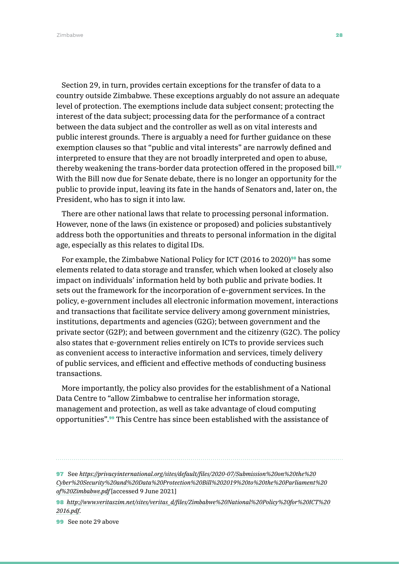Zimbabwe 28 anisotropic control of the control of the control of the control of the control of the control of the control of the control of the control of the control of the control of the control of the control of the con

Section 29, in turn, provides certain exceptions for the transfer of data to a country outside Zimbabwe. These exceptions arguably do not assure an adequate level of protection. The exemptions include data subject consent; protecting the interest of the data subject; processing data for the performance of a contract between the data subject and the controller as well as on vital interests and public interest grounds. There is arguably a need for further guidance on these exemption clauses so that "public and vital interests" are narrowly defined and interpreted to ensure that they are not broadly interpreted and open to abuse, thereby weakening the trans-border data protection offered in the proposed bill.<sup>97</sup> With the Bill now due for Senate debate, there is no longer an opportunity for the public to provide input, leaving its fate in the hands of Senators and, later on, the President, who has to sign it into law.

There are other national laws that relate to processing personal information. However, none of the laws (in existence or proposed) and policies substantively address both the opportunities and threats to personal information in the digital age, especially as this relates to digital IDs.

For example, the Zimbabwe National Policy for ICT (2016 to 2020)<sup>98</sup> has some elements related to data storage and transfer, which when looked at closely also impact on individuals' information held by both public and private bodies. It sets out the framework for the incorporation of e-government services. In the policy, e-government includes all electronic information movement, interactions and transactions that facilitate service delivery among government ministries, institutions, departments and agencies (G2G); between government and the private sector (G2P); and between government and the citizenry (G2C). The policy also states that e-government relies entirely on ICTs to provide services such as convenient access to interactive information and services, timely delivery of public services, and efficient and effective methods of conducting business transactions.

More importantly, the policy also provides for the establishment of a National Data Centre to "allow Zimbabwe to centralise her information storage, management and protection, as well as take advantage of cloud computing opportunities".99 This Centre has since been established with the assistance of

<sup>97</sup> See *[https://privacyinternational.org/sites/default/files/2020-07/Submission%20on%20the%20](https://privacyinternational.org/sites/default/files/2020-07/Submission%20on%20the%20Cyber%20Security%20and%20Data%20Protection%20Bill%202019%20to%20the%20Parliament%20of%20Zimbabwe.pdf) [Cyber%20Security%20and%20Data%20Protection%20Bill%202019%20to%20the%20Parliament%20](https://privacyinternational.org/sites/default/files/2020-07/Submission%20on%20the%20Cyber%20Security%20and%20Data%20Protection%20Bill%202019%20to%20the%20Parliament%20of%20Zimbabwe.pdf) [of%20Zimbabwe.pdf](https://privacyinternational.org/sites/default/files/2020-07/Submission%20on%20the%20Cyber%20Security%20and%20Data%20Protection%20Bill%202019%20to%20the%20Parliament%20of%20Zimbabwe.pdf)* [accessed 9 June 2021]

<sup>98</sup> *[http://www.veritaszim.net/sites/veritas\\_d/files/Zimbabwe%20National%20Policy%20for%20ICT%20](http://www.veritaszim.net/sites/veritas_d/files/Zimbabwe%20National%20Policy%20for%20ICT%202016.pdf) [2016.pdf](http://www.veritaszim.net/sites/veritas_d/files/Zimbabwe%20National%20Policy%20for%20ICT%202016.pdf)*.

<sup>99</sup> See note 29 above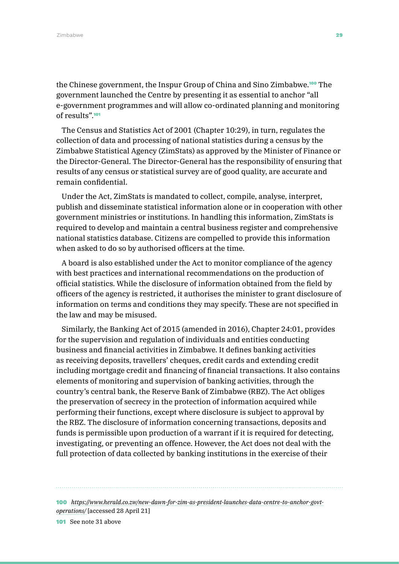the Chinese government, the Inspur Group of China and Sino Zimbabwe.100 The government launched the Centre by presenting it as essential to anchor "all e-government programmes and will allow co-ordinated planning and monitoring of results".<sup>101</sup>

The Census and Statistics Act of 2001 (Chapter 10:29), in turn, regulates the collection of data and processing of national statistics during a census by the Zimbabwe Statistical Agency (ZimStats) as approved by the Minister of Finance or the Director-General. The Director-General has the responsibility of ensuring that results of any census or statistical survey are of good quality, are accurate and remain confidential.

Under the Act, ZimStats is mandated to collect, compile, analyse, interpret, publish and disseminate statistical information alone or in cooperation with other government ministries or institutions. In handling this information, ZimStats is required to develop and maintain a central business register and comprehensive national statistics database. Citizens are compelled to provide this information when asked to do so by authorised officers at the time.

A board is also established under the Act to monitor compliance of the agency with best practices and international recommendations on the production of official statistics. While the disclosure of information obtained from the field by officers of the agency is restricted, it authorises the minister to grant disclosure of information on terms and conditions they may specify. These are not specified in the law and may be misused.

Similarly, the Banking Act of 2015 (amended in 2016), Chapter 24:01, provides for the supervision and regulation of individuals and entities conducting business and financial activities in Zimbabwe. It defines banking activities as receiving deposits, travellers' cheques, credit cards and extending credit including mortgage credit and financing of financial transactions. It also contains elements of monitoring and supervision of banking activities, through the country's central bank, the Reserve Bank of Zimbabwe (RBZ). The Act obliges the preservation of secrecy in the protection of information acquired while performing their functions, except where disclosure is subject to approval by the RBZ. The disclosure of information concerning transactions, deposits and funds is permissible upon production of a warrant if it is required for detecting, investigating, or preventing an offence. However, the Act does not deal with the full protection of data collected by banking institutions in the exercise of their

100 *[https://www.herald.co.zw/new-dawn-for-zim-as-president-launches-data-centre-to-anchor-govt](https://www.herald.co.zw/new-dawn-for-zim-as-president-launches-data-centre-to-anchor-govt-operations/)[operations/](https://www.herald.co.zw/new-dawn-for-zim-as-president-launches-data-centre-to-anchor-govt-operations/)* [accessed 28 April 21] 101 See note 31 above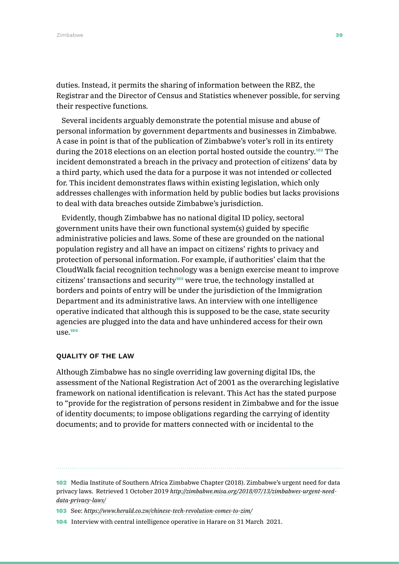duties. Instead, it permits the sharing of information between the RBZ, the Registrar and the Director of Census and Statistics whenever possible, for serving their respective functions.

Several incidents arguably demonstrate the potential misuse and abuse of personal information by government departments and businesses in Zimbabwe. A case in point is that of the publication of Zimbabwe's voter's roll in its entirety during the 2018 elections on an election portal hosted outside the country.102 The incident demonstrated a breach in the privacy and protection of citizens' data by a third party, which used the data for a purpose it was not intended or collected for. This incident demonstrates flaws within existing legislation, which only addresses challenges with information held by public bodies but lacks provisions to deal with data breaches outside Zimbabwe's jurisdiction.

Evidently, though Zimbabwe has no national digital ID policy, sectoral government units have their own functional system(s) guided by specific administrative policies and laws. Some of these are grounded on the national population registry and all have an impact on citizens' rights to privacy and protection of personal information. For example, if authorities' claim that the CloudWalk facial recognition technology was a benign exercise meant to improve citizens' transactions and security<sup>103</sup> were true, the technology installed at borders and points of entry will be under the jurisdiction of the Immigration Department and its administrative laws. An interview with one intelligence operative indicated that although this is supposed to be the case, state security agencies are plugged into the data and have unhindered access for their own use.<sup>104</sup>

#### QUALITY OF THE LAW

Although Zimbabwe has no single overriding law governing digital IDs, the assessment of the National Registration Act of 2001 as the overarching legislative framework on national identification is relevant. This Act has the stated purpose to "provide for the registration of persons resident in Zimbabwe and for the issue of identity documents; to impose obligations regarding the carrying of identity documents; and to provide for matters connected with or incidental to the

<sup>102</sup> Media Institute of Southern Africa Zimbabwe Chapter (2018). Zimbabwe's urgent need for data privacy laws. Retrieved 1 October 2019 *[http://zimbabwe.misa.org/2018/07/13/zimbabwes-urgent-need](http://zimbabwe.misa.org/2018/07/13/zimbabwes-urgent-need-data-privacy-laws/)[data-privacy-laws/](http://zimbabwe.misa.org/2018/07/13/zimbabwes-urgent-need-data-privacy-laws/)*

<sup>103</sup> See: *<https://www.herald.co.zw/chinese-tech-revolution-comes-to-zim/>*

<sup>104</sup> Interview with central intelligence operative in Harare on 31 March 2021.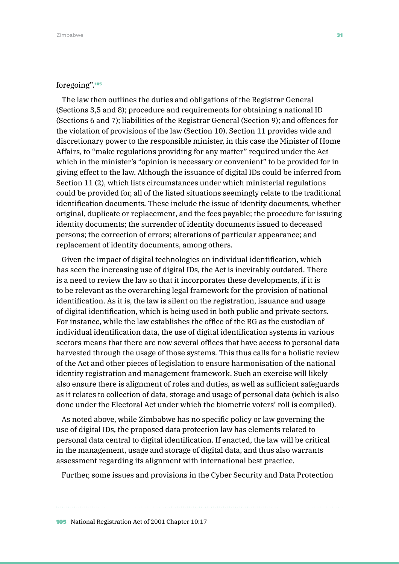#### foregoing".<sup>105</sup>

The law then outlines the duties and obligations of the Registrar General (Sections 3,5 and 8); procedure and requirements for obtaining a national ID (Sections 6 and 7); liabilities of the Registrar General (Section 9); and offences for the violation of provisions of the law (Section 10). Section 11 provides wide and discretionary power to the responsible minister, in this case the Minister of Home Affairs, to "make regulations providing for any matter" required under the Act which in the minister's "opinion is necessary or convenient" to be provided for in giving effect to the law. Although the issuance of digital IDs could be inferred from Section 11 (2), which lists circumstances under which ministerial regulations could be provided for, all of the listed situations seemingly relate to the traditional identification documents. These include the issue of identity documents, whether original, duplicate or replacement, and the fees payable; the procedure for issuing identity documents; the surrender of identity documents issued to deceased persons; the correction of errors; alterations of particular appearance; and replacement of identity documents, among others.

Given the impact of digital technologies on individual identification, which has seen the increasing use of digital IDs, the Act is inevitably outdated. There is a need to review the law so that it incorporates these developments, if it is to be relevant as the overarching legal framework for the provision of national identification. As it is, the law is silent on the registration, issuance and usage of digital identification, which is being used in both public and private sectors. For instance, while the law establishes the office of the RG as the custodian of individual identification data, the use of digital identification systems in various sectors means that there are now several offices that have access to personal data harvested through the usage of those systems. This thus calls for a holistic review of the Act and other pieces of legislation to ensure harmonisation of the national identity registration and management framework. Such an exercise will likely also ensure there is alignment of roles and duties, as well as sufficient safeguards as it relates to collection of data, storage and usage of personal data (which is also done under the Electoral Act under which the biometric voters' roll is compiled).

As noted above, while Zimbabwe has no specific policy or law governing the use of digital IDs, the proposed data protection law has elements related to personal data central to digital identification. If enacted, the law will be critical in the management, usage and storage of digital data, and thus also warrants assessment regarding its alignment with international best practice.

Further, some issues and provisions in the Cyber Security and Data Protection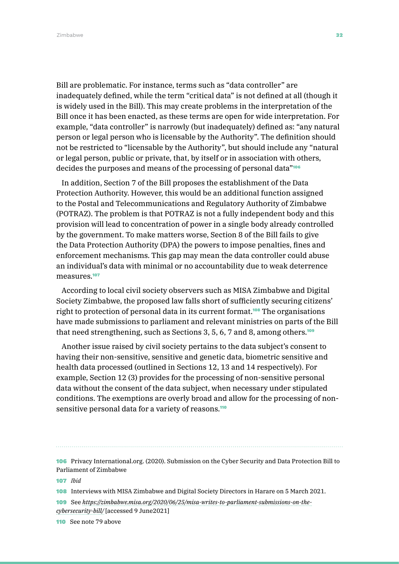Bill are problematic. For instance, terms such as "data controller" are inadequately defined, while the term "critical data" is not defined at all (though it is widely used in the Bill). This may create problems in the interpretation of the Bill once it has been enacted, as these terms are open for wide interpretation. For example, "data controller" is narrowly (but inadequately) defined as: "any natural person or legal person who is licensable by the Authority". The definition should not be restricted to "licensable by the Authority", but should include any "natural or legal person, public or private, that, by itself or in association with others, decides the purposes and means of the processing of personal data"<sup>106</sup>

In addition, Section 7 of the Bill proposes the establishment of the Data Protection Authority. However, this would be an additional function assigned to the Postal and Telecommunications and Regulatory Authority of Zimbabwe (POTRAZ). The problem is that POTRAZ is not a fully independent body and this provision will lead to concentration of power in a single body already controlled by the government. To make matters worse, Section 8 of the Bill fails to give the Data Protection Authority (DPA) the powers to impose penalties, fines and enforcement mechanisms. This gap may mean the data controller could abuse an individual's data with minimal or no accountability due to weak deterrence measures<sup>107</sup>

According to local civil society observers such as MISA Zimbabwe and Digital Society Zimbabwe, the proposed law falls short of sufficiently securing citizens' right to protection of personal data in its current format.<sup>108</sup> The organisations have made submissions to parliament and relevant ministries on parts of the Bill that need strengthening, such as Sections 3, 5, 6, 7 and 8, among others.<sup>109</sup>

Another issue raised by civil society pertains to the data subject's consent to having their non-sensitive, sensitive and genetic data, biometric sensitive and health data processed (outlined in Sections 12, 13 and 14 respectively). For example, Section 12 (3) provides for the processing of non-sensitive personal data without the consent of the data subject, when necessary under stipulated conditions. The exemptions are overly broad and allow for the processing of nonsensitive personal data for a variety of reasons.<sup>110</sup>

106 Privacy International.org. (2020). Submission on the Cyber Security and Data Protection Bill to Parliament of Zimbabwe

107 *Ibid*

108 Interviews with MISA Zimbabwe and Digital Society Directors in Harare on 5 March 2021.

109 See *[https://zimbabwe.misa.org/2020/06/25/misa-writes-to-parliament-submissions-on-the](https://zimbabwe.misa.org/2020/06/25/misa-writes-to-parliament-submissions-on-the-cybersecurity-bill/)[cybersecurity-bill/](https://zimbabwe.misa.org/2020/06/25/misa-writes-to-parliament-submissions-on-the-cybersecurity-bill/)* [accessed 9 June2021]

110 See note 79 above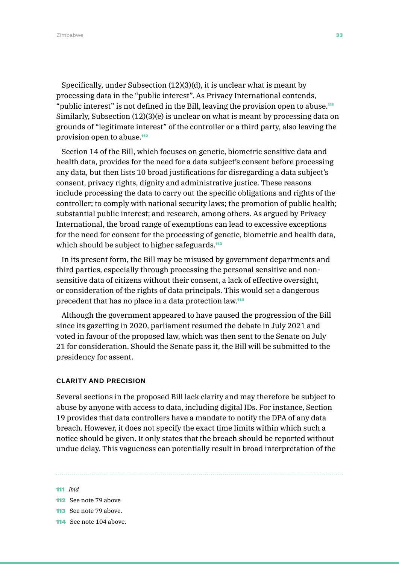Zimbabwe **33** Australia and the set of the set of the set of the set of the set of the set of the set of the set of the set of the set of the set of the set of the set of the set of the set of the set of the set of the set

Specifically, under Subsection (12)(3)(d), it is unclear what is meant by processing data in the "public interest". As Privacy International contends, "public interest" is not defined in the Bill, leaving the provision open to abuse.<sup>111</sup> Similarly, Subsection (12)(3)(e) is unclear on what is meant by processing data on grounds of "legitimate interest" of the controller or a third party, also leaving the provision open to abuse.<sup>112</sup>

Section 14 of the Bill, which focuses on genetic, biometric sensitive data and health data, provides for the need for a data subject's consent before processing any data, but then lists 10 broad justifications for disregarding a data subject's consent, privacy rights, dignity and administrative justice. These reasons include processing the data to carry out the specific obligations and rights of the controller; to comply with national security laws; the promotion of public health; substantial public interest; and research, among others. As argued by Privacy International, the broad range of exemptions can lead to excessive exceptions for the need for consent for the processing of genetic, biometric and health data, which should be subject to higher safeguards.<sup>113</sup>

In its present form, the Bill may be misused by government departments and third parties, especially through processing the personal sensitive and nonsensitive data of citizens without their consent, a lack of effective oversight, or consideration of the rights of data principals. This would set a dangerous precedent that has no place in a data protection law.<sup>114</sup>

Although the government appeared to have paused the progression of the Bill since its gazetting in 2020, parliament resumed the debate in July 2021 and voted in favour of the proposed law, which was then sent to the Senate on July 21 for consideration. Should the Senate pass it, the Bill will be submitted to the presidency for assent.

#### CLARITY AND PRECISION

Several sections in the proposed Bill lack clarity and may therefore be subject to abuse by anyone with access to data, including digital IDs. For instance, Section 19 provides that data controllers have a mandate to notify the DPA of any data breach. However, it does not specify the exact time limits within which such a notice should be given. It only states that the breach should be reported without undue delay. This vagueness can potentially result in broad interpretation of the

#### 111 *Ibid*

114 See note 104 above.

<sup>112</sup> See note 79 above.

<sup>113</sup> See note 79 above.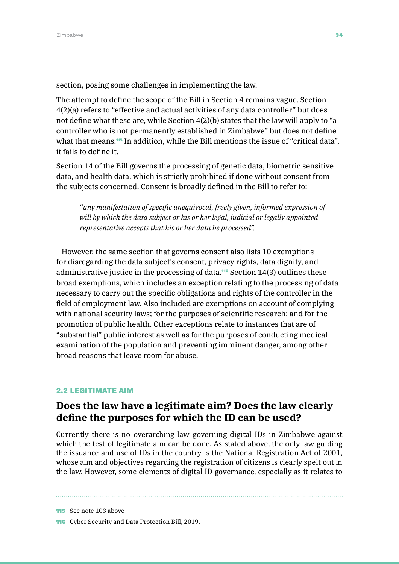section, posing some challenges in implementing the law.

The attempt to define the scope of the Bill in Section 4 remains vague. Section 4(2)(a) refers to "effective and actual activities of any data controller" but does not define what these are, while Section 4(2)(b) states that the law will apply to "a controller who is not permanently established in Zimbabwe" but does not define what that means.<sup>115</sup> In addition, while the Bill mentions the issue of "critical data", it fails to define it.

Section 14 of the Bill governs the processing of genetic data, biometric sensitive data, and health data, which is strictly prohibited if done without consent from the subjects concerned. Consent is broadly defined in the Bill to refer to:

"*any manifestation of specific unequivocal, freely given, informed expression of will by which the data subject or his or her legal, judicial or legally appointed representative accepts that his or her data be processed".* 

However, the same section that governs consent also lists 10 exemptions for disregarding the data subject's consent, privacy rights, data dignity, and administrative justice in the processing of data.<sup>116</sup> Section  $14(3)$  outlines these broad exemptions, which includes an exception relating to the processing of data necessary to carry out the specific obligations and rights of the controller in the field of employment law. Also included are exemptions on account of complying with national security laws; for the purposes of scientific research; and for the promotion of public health. Other exceptions relate to instances that are of "substantial" public interest as well as for the purposes of conducting medical examination of the population and preventing imminent danger, among other broad reasons that leave room for abuse.

#### 2.2 LEGITIMATE AIM

## **Does the law have a legitimate aim? Does the law clearly define the purposes for which the ID can be used?**

Currently there is no overarching law governing digital IDs in Zimbabwe against which the test of legitimate aim can be done. As stated above, the only law guiding the issuance and use of IDs in the country is the National Registration Act of 2001, whose aim and objectives regarding the registration of citizens is clearly spelt out in the law. However, some elements of digital ID governance, especially as it relates to

115 See note 103 above 116 Cyber Security and Data Protection Bill, 2019.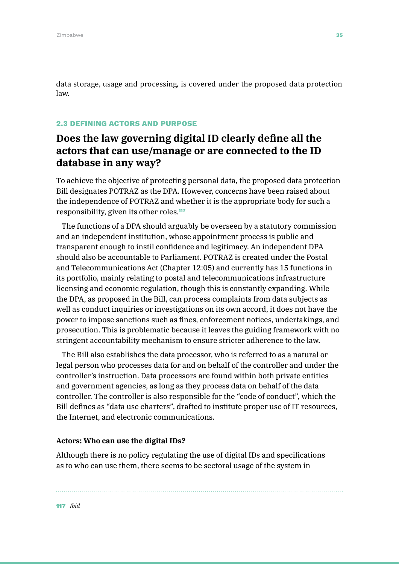data storage, usage and processing, is covered under the proposed data protection law.

#### 2.3 DEFINING ACTORS AND PURPOSE

# **Does the law governing digital ID clearly define all the actors that can use/manage or are connected to the ID database in any way?**

To achieve the objective of protecting personal data, the proposed data protection Bill designates POTRAZ as the DPA. However, concerns have been raised about the independence of POTRAZ and whether it is the appropriate body for such a responsibility, given its other roles.<sup>117</sup>

The functions of a DPA should arguably be overseen by a statutory commission and an independent institution, whose appointment process is public and transparent enough to instil confidence and legitimacy. An independent DPA should also be accountable to Parliament. POTRAZ is created under the Postal and Telecommunications Act (Chapter 12:05) and currently has 15 functions in its portfolio, mainly relating to postal and telecommunications infrastructure licensing and economic regulation, though this is constantly expanding. While the DPA, as proposed in the Bill, can process complaints from data subjects as well as conduct inquiries or investigations on its own accord, it does not have the power to impose sanctions such as fines, enforcement notices, undertakings, and prosecution. This is problematic because it leaves the guiding framework with no stringent accountability mechanism to ensure stricter adherence to the law.

The Bill also establishes the data processor, who is referred to as a natural or legal person who processes data for and on behalf of the controller and under the controller's instruction. Data processors are found within both private entities and government agencies, as long as they process data on behalf of the data controller. The controller is also responsible for the "code of conduct", which the Bill defines as "data use charters", drafted to institute proper use of IT resources, the Internet, and electronic communications.

#### **Actors: Who can use the digital IDs?**

Although there is no policy regulating the use of digital IDs and specifications as to who can use them, there seems to be sectoral usage of the system in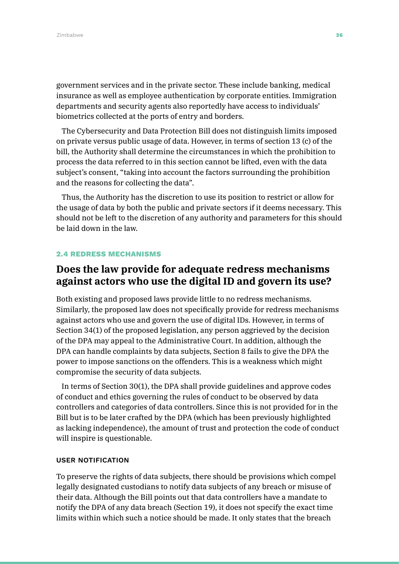government services and in the private sector. These include banking, medical insurance as well as employee authentication by corporate entities. Immigration departments and security agents also reportedly have access to individuals' biometrics collected at the ports of entry and borders.

The Cybersecurity and Data Protection Bill does not distinguish limits imposed on private versus public usage of data. However, in terms of section 13 (c) of the bill, the Authority shall determine the circumstances in which the prohibition to process the data referred to in this section cannot be lifted, even with the data subject's consent, "taking into account the factors surrounding the prohibition and the reasons for collecting the data".

Thus, the Authority has the discretion to use its position to restrict or allow for the usage of data by both the public and private sectors if it deems necessary. This should not be left to the discretion of any authority and parameters for this should be laid down in the law.

#### 2.4 REDRESS MECHANISMS

## **Does the law provide for adequate redress mechanisms against actors who use the digital ID and govern its use?**

Both existing and proposed laws provide little to no redress mechanisms. Similarly, the proposed law does not specifically provide for redress mechanisms against actors who use and govern the use of digital IDs. However, in terms of Section 34(1) of the proposed legislation, any person aggrieved by the decision of the DPA may appeal to the Administrative Court. In addition, although the DPA can handle complaints by data subjects, Section 8 fails to give the DPA the power to impose sanctions on the offenders. This is a weakness which might compromise the security of data subjects.

In terms of Section 30(1), the DPA shall provide guidelines and approve codes of conduct and ethics governing the rules of conduct to be observed by data controllers and categories of data controllers. Since this is not provided for in the Bill but is to be later crafted by the DPA (which has been previously highlighted as lacking independence), the amount of trust and protection the code of conduct will inspire is questionable.

#### USER NOTIFICATION

To preserve the rights of data subjects, there should be provisions which compel legally designated custodians to notify data subjects of any breach or misuse of their data. Although the Bill points out that data controllers have a mandate to notify the DPA of any data breach (Section 19), it does not specify the exact time limits within which such a notice should be made. It only states that the breach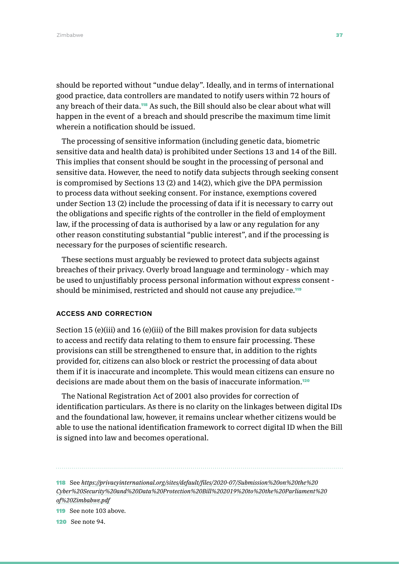should be reported without "undue delay". Ideally, and in terms of international good practice, data controllers are mandated to notify users within 72 hours of any breach of their data.<sup>118</sup> As such, the Bill should also be clear about what will happen in the event of a breach and should prescribe the maximum time limit wherein a notification should be issued.

The processing of sensitive information (including genetic data, biometric sensitive data and health data) is prohibited under Sections 13 and 14 of the Bill. This implies that consent should be sought in the processing of personal and sensitive data. However, the need to notify data subjects through seeking consent is compromised by Sections 13 (2) and 14(2), which give the DPA permission to process data without seeking consent. For instance, exemptions covered under Section 13 (2) include the processing of data if it is necessary to carry out the obligations and specific rights of the controller in the field of employment law, if the processing of data is authorised by a law or any regulation for any other reason constituting substantial "public interest", and if the processing is necessary for the purposes of scientific research.

These sections must arguably be reviewed to protect data subjects against breaches of their privacy. Overly broad language and terminology - which may be used to unjustifiably process personal information without express consent should be minimised, restricted and should not cause any prejudice.<sup>119</sup>

#### ACCESS AND CORRECTION

Section 15 (e)(iii) and 16 (e)(iii) of the Bill makes provision for data subjects to access and rectify data relating to them to ensure fair processing. These provisions can still be strengthened to ensure that, in addition to the rights provided for, citizens can also block or restrict the processing of data about them if it is inaccurate and incomplete. This would mean citizens can ensure no decisions are made about them on the basis of inaccurate information.<sup>120</sup>

The National Registration Act of 2001 also provides for correction of identification particulars. As there is no clarity on the linkages between digital IDs and the foundational law, however, it remains unclear whether citizens would be able to use the national identification framework to correct digital ID when the Bill is signed into law and becomes operational.

118 See *[https://privacyinternational.org/sites/default/files/2020-07/Submission%20on%20the%20](https://privacyinternational.org/sites/default/files/2020-07/Submission%20on%20the%20Cyber%20Security%20and%20Data%20Protection%20Bill%202019%20to%20the%20Parliament%20of%20Zimbabwe.pdf) [Cyber%20Security%20and%20Data%20Protection%20Bill%202019%20to%20the%20Parliament%20](https://privacyinternational.org/sites/default/files/2020-07/Submission%20on%20the%20Cyber%20Security%20and%20Data%20Protection%20Bill%202019%20to%20the%20Parliament%20of%20Zimbabwe.pdf) [of%20Zimbabwe.pdf](https://privacyinternational.org/sites/default/files/2020-07/Submission%20on%20the%20Cyber%20Security%20and%20Data%20Protection%20Bill%202019%20to%20the%20Parliament%20of%20Zimbabwe.pdf)*

119 See note 103 above.

120 See note 94.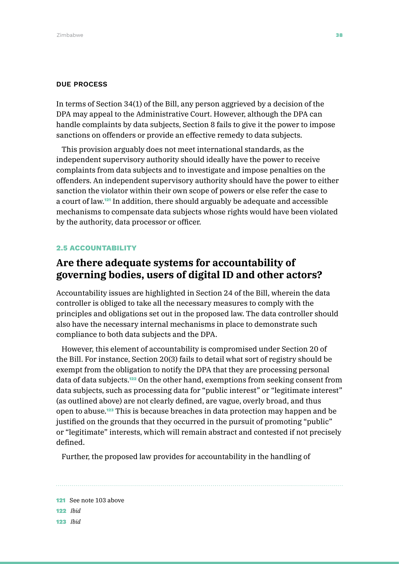#### DUE PROCESS

In terms of Section 34(1) of the Bill, any person aggrieved by a decision of the DPA may appeal to the Administrative Court. However, although the DPA can handle complaints by data subjects, Section 8 fails to give it the power to impose sanctions on offenders or provide an effective remedy to data subjects.

This provision arguably does not meet international standards, as the independent supervisory authority should ideally have the power to receive complaints from data subjects and to investigate and impose penalties on the offenders. An independent supervisory authority should have the power to either sanction the violator within their own scope of powers or else refer the case to a court of law.121 In addition, there should arguably be adequate and accessible mechanisms to compensate data subjects whose rights would have been violated by the authority, data processor or officer.

#### 2.5 ACCOUNTABILITY

### **Are there adequate systems for accountability of governing bodies, users of digital ID and other actors?**

Accountability issues are highlighted in Section 24 of the Bill, wherein the data controller is obliged to take all the necessary measures to comply with the principles and obligations set out in the proposed law. The data controller should also have the necessary internal mechanisms in place to demonstrate such compliance to both data subjects and the DPA.

However, this element of accountability is compromised under Section 20 of the Bill. For instance, Section 20(3) fails to detail what sort of registry should be exempt from the obligation to notify the DPA that they are processing personal data of data subjects.122 On the other hand, exemptions from seeking consent from data subjects, such as processing data for "public interest" or "legitimate interest" (as outlined above) are not clearly defined, are vague, overly broad, and thus open to abuse.123 This is because breaches in data protection may happen and be justified on the grounds that they occurred in the pursuit of promoting "public" or "legitimate" interests, which will remain abstract and contested if not precisely defined.

Further, the proposed law provides for accountability in the handling of

121 See note 103 above 122 *Ibid* 123 *Ibid*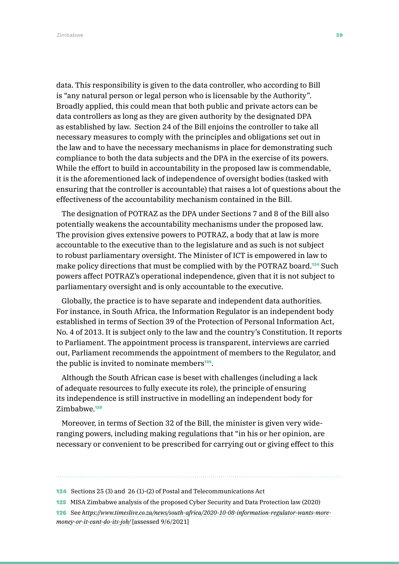data. This responsibility is given to the data controller, who according to Bill is "any natural person or legal person who is licensable by the Authority". Broadly applied, this could mean that both public and private actors can be data controllers as long as they are given authority by the designated DPA as established by law. Section 24 of the Bill enjoins the controller to take all necessary measures to comply with the principles and obligations set out in the law and to have the necessary mechanisms in place for demonstrating such compliance to both the data subjects and the DPA in the exercise of its powers. While the effort to build in accountability in the proposed law is commendable, it is the aforementioned lack of independence of oversight bodies (tasked with ensuring that the controller is accountable) that raises a lot of questions about the effectiveness of the accountability mechanism contained in the Bill.

The designation of POTRAZ as the DPA under Sections 7 and 8 of the Bill also potentially weakens the accountability mechanisms under the proposed law. The provision gives extensive powers to POTRAZ, a body that at law is more accountable to the executive than to the legislature and as such is not subject to robust parliamentary oversight. The Minister of ICT is empowered in law to make policy directions that must be complied with by the POTRAZ board.124 Such powers affect POTRAZ's operational independence, given that it is not subject to parliamentary oversight and is only accountable to the executive.

Globally, the practice is to have separate and independent data authorities. For instance, in South Africa, the Information Regulator is an independent body established in terms of Section 39 of the Protection of Personal Information Act, No. 4 of 2013. It is subject only to the law and the country's Constitution. It reports to Parliament. The appointment process is transparent, interviews are carried out, Parliament recommends the appointment of members to the Regulator, and the public is invited to nominate members<sup>125</sup>.

Although the South African case is beset with challenges (including a lack of adequate resources to fully execute its role), the principle of ensuring its independence is still instructive in modelling an independent body for Zimbabwe<sup>126</sup>

Moreover, in terms of Section 32 of the Bill, the minister is given very wideranging powers, including making regulations that "in his or her opinion, are necessary or convenient to be prescribed for carrying out or giving effect to this

<sup>124</sup> Sections 25 (3) and 26 (1)-(2) of Postal and Telecommunications Act

<sup>125</sup> MISA Zimbabwe analysis of the proposed Cyber Security and Data Protection law (2020)

<sup>126</sup> See *[https://www.timeslive.co.za/news/south-africa/2020-10-08-information-regulator-wants-more](https://www.timeslive.co.za/news/south-africa/2020-10-08-information-regulator-wants-more-money-or-it-cant-do-its-job/)[money-or-it-cant-do-its-job/](https://www.timeslive.co.za/news/south-africa/2020-10-08-information-regulator-wants-more-money-or-it-cant-do-its-job/)* [assessed 9/6/2021]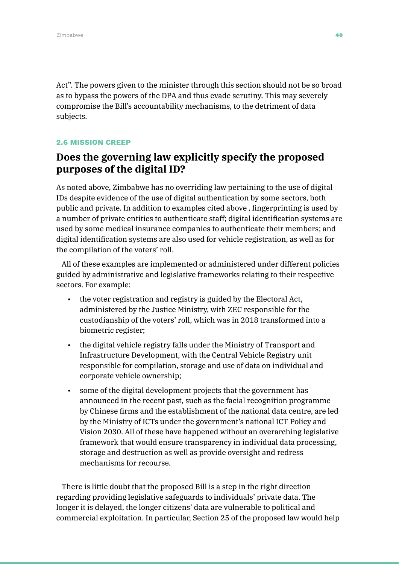Act". The powers given to the minister through this section should not be so broad as to bypass the powers of the DPA and thus evade scrutiny. This may severely compromise the Bill's accountability mechanisms, to the detriment of data subjects.

#### 2.6 MISSION CREEP

## **Does the governing law explicitly specify the proposed purposes of the digital ID?**

As noted above, Zimbabwe has no overriding law pertaining to the use of digital IDs despite evidence of the use of digital authentication by some sectors, both public and private. In addition to examples cited above , fingerprinting is used by a number of private entities to authenticate staff; digital identification systems are used by some medical insurance companies to authenticate their members; and digital identification systems are also used for vehicle registration, as well as for the compilation of the voters' roll.

All of these examples are implemented or administered under different policies guided by administrative and legislative frameworks relating to their respective sectors. For example:

- the voter registration and registry is guided by the Electoral Act, administered by the Justice Ministry, with ZEC responsible for the custodianship of the voters' roll, which was in 2018 transformed into a biometric register;
- the digital vehicle registry falls under the Ministry of Transport and Infrastructure Development, with the Central Vehicle Registry unit responsible for compilation, storage and use of data on individual and corporate vehicle ownership;
- some of the digital development projects that the government has announced in the recent past, such as the facial recognition programme by Chinese firms and the establishment of the national data centre, are led by the Ministry of ICTs under the government's national ICT Policy and Vision 2030. All of these have happened without an overarching legislative framework that would ensure transparency in individual data processing, storage and destruction as well as provide oversight and redress mechanisms for recourse.

There is little doubt that the proposed Bill is a step in the right direction regarding providing legislative safeguards to individuals' private data. The longer it is delayed, the longer citizens' data are vulnerable to political and commercial exploitation. In particular, Section 25 of the proposed law would help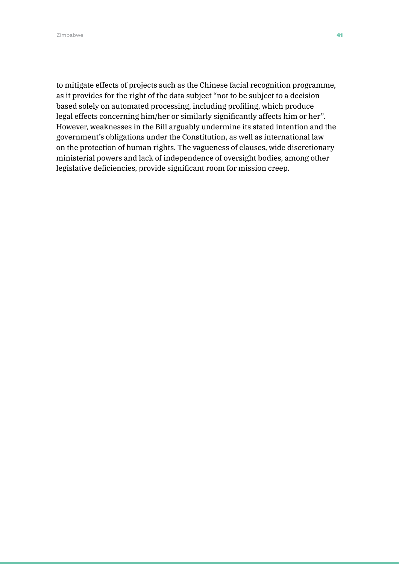Zimbabwe **41** Animal and the set of the set of the set of the set of the set of the set of the set of the set of the set of the set of the set of the set of the set of the set of the set of the set of the set of the set of

to mitigate effects of projects such as the Chinese facial recognition programme, as it provides for the right of the data subject "not to be subject to a decision based solely on automated processing, including profiling, which produce legal effects concerning him/her or similarly significantly affects him or her". However, weaknesses in the Bill arguably undermine its stated intention and the government's obligations under the Constitution, as well as international law on the protection of human rights. The vagueness of clauses, wide discretionary ministerial powers and lack of independence of oversight bodies, among other legislative deficiencies, provide significant room for mission creep.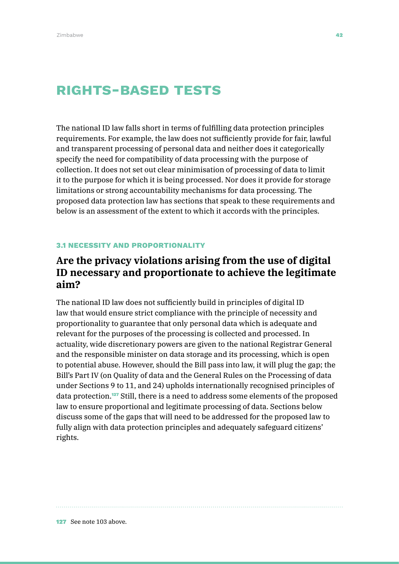# Rights-based tests

The national ID law falls short in terms of fulfilling data protection principles requirements. For example, the law does not sufficiently provide for fair, lawful and transparent processing of personal data and neither does it categorically specify the need for compatibility of data processing with the purpose of collection. It does not set out clear minimisation of processing of data to limit it to the purpose for which it is being processed. Nor does it provide for storage limitations or strong accountability mechanisms for data processing. The proposed data protection law has sections that speak to these requirements and below is an assessment of the extent to which it accords with the principles.

#### 3.1 NECESSITY AND PROPORTIONALITY

## **Are the privacy violations arising from the use of digital ID necessary and proportionate to achieve the legitimate aim?**

The national ID law does not sufficiently build in principles of digital ID law that would ensure strict compliance with the principle of necessity and proportionality to guarantee that only personal data which is adequate and relevant for the purposes of the processing is collected and processed. In actuality, wide discretionary powers are given to the national Registrar General and the responsible minister on data storage and its processing, which is open to potential abuse. However, should the Bill pass into law, it will plug the gap; the Bill's Part IV (on Quality of data and the General Rules on the Processing of data under Sections 9 to 11, and 24) upholds internationally recognised principles of data protection.127 Still, there is a need to address some elements of the proposed law to ensure proportional and legitimate processing of data. Sections below discuss some of the gaps that will need to be addressed for the proposed law to fully align with data protection principles and adequately safeguard citizens' rights.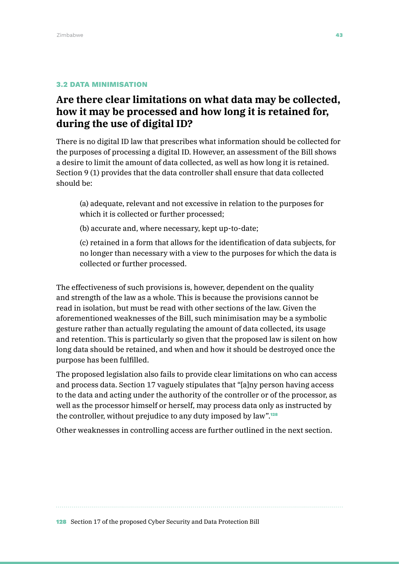#### 3.2 DATA MINIMISATION

# **Are there clear limitations on what data may be collected, how it may be processed and how long it is retained for, during the use of digital ID?**

There is no digital ID law that prescribes what information should be collected for the purposes of processing a digital ID. However, an assessment of the Bill shows a desire to limit the amount of data collected, as well as how long it is retained. Section 9 (1) provides that the data controller shall ensure that data collected should be:

(a) adequate, relevant and not excessive in relation to the purposes for which it is collected or further processed;

(b) accurate and, where necessary, kept up-to-date;

(c) retained in a form that allows for the identification of data subjects, for no longer than necessary with a view to the purposes for which the data is collected or further processed.

The effectiveness of such provisions is, however, dependent on the quality and strength of the law as a whole. This is because the provisions cannot be read in isolation, but must be read with other sections of the law. Given the aforementioned weaknesses of the Bill, such minimisation may be a symbolic gesture rather than actually regulating the amount of data collected, its usage and retention. This is particularly so given that the proposed law is silent on how long data should be retained, and when and how it should be destroyed once the purpose has been fulfilled.

The proposed legislation also fails to provide clear limitations on who can access and process data. Section 17 vaguely stipulates that "[a]ny person having access to the data and acting under the authority of the controller or of the processor, as well as the processor himself or herself, may process data only as instructed by the controller, without prejudice to any duty imposed by law".<sup>128</sup>

Other weaknesses in controlling access are further outlined in the next section.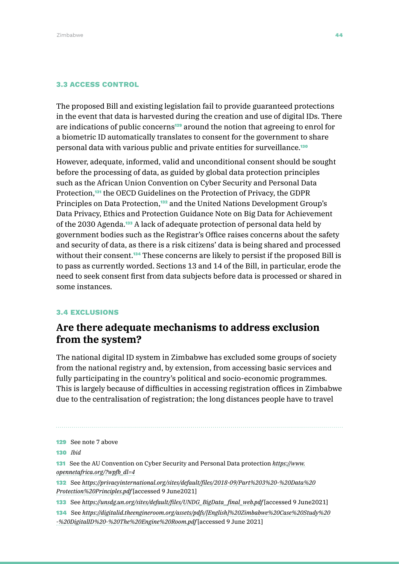#### 3.3 ACCESS CONTROL

The proposed Bill and existing legislation fail to provide guaranteed protections in the event that data is harvested during the creation and use of digital IDs. There are indications of public concerns<sup>129</sup> around the notion that agreeing to enrol for a biometric ID automatically translates to consent for the government to share personal data with various public and private entities for surveillance.<sup>130</sup>

However, adequate, informed, valid and unconditional consent should be sought before the processing of data, as guided by global data protection principles such as the African Union Convention on Cyber Security and Personal Data Protection,<sup>131</sup> the OECD Guidelines on the Protection of Privacy, the GDPR Principles on Data Protection,<sup>132</sup> and the United Nations Development Group's Data Privacy, Ethics and Protection Guidance Note on Big Data for Achievement of the 2030 Agenda.133 A lack of adequate protection of personal data held by government bodies such as the Registrar's Office raises concerns about the safety and security of data, as there is a risk citizens' data is being shared and processed without their consent.<sup>134</sup> These concerns are likely to persist if the proposed Bill is to pass as currently worded. Sections 13 and 14 of the Bill, in particular, erode the need to seek consent first from data subjects before data is processed or shared in some instances.

#### 3.4 EXCLUSIONS

### **Are there adequate mechanisms to address exclusion from the system?**

The national digital ID system in Zimbabwe has excluded some groups of society from the national registry and, by extension, from accessing basic services and fully participating in the country's political and socio-economic programmes. This is largely because of difficulties in accessing registration offices in Zimbabwe due to the centralisation of registration; the long distances people have to travel

129 See note 7 above 130 *Ibid* 131 See the AU Convention on Cyber Security and Personal Data protection *[https://www.](https://www.opennetafrica.org/?wpfb_dl=4) [opennetafrica.org/?wpfb\\_dl=4](https://www.opennetafrica.org/?wpfb_dl=4)* 132 See *[https://privacyinternational.org/sites/default/files/2018-09/Part%203%20-%20Data%20](https://privacyinternational.org/sites/default/files/2018-09/Part%203%20-%20Data%20Protection%20Principles.pdf) [Protection%20Principles.pdf](https://privacyinternational.org/sites/default/files/2018-09/Part%203%20-%20Data%20Protection%20Principles.pdf)* [accessed 9 June2021] 133 See *[https://unsdg.un.org/sites/default/files/UNDG\\_BigData\\_final\\_web.pdf](https://unsdg.un.org/sites/default/files/UNDG_BigData_final_web.pdf)* [accessed 9 June2021] 134 See *[https://digitalid.theengineroom.org/assets/pdfs/\[English\]%20Zimbabwe%20Case%20Study%20](https://digitalid.theengineroom.org/assets/pdfs/%5bEnglish%5d%20Zimbabwe%20Case%20Study%20-%20DigitalID%20-%20The%20Engine%20Room.pdf) [-%20DigitalID%20-%20The%20Engine%20Room.pdf](https://digitalid.theengineroom.org/assets/pdfs/%5bEnglish%5d%20Zimbabwe%20Case%20Study%20-%20DigitalID%20-%20The%20Engine%20Room.pdf)* [accessed 9 June 2021]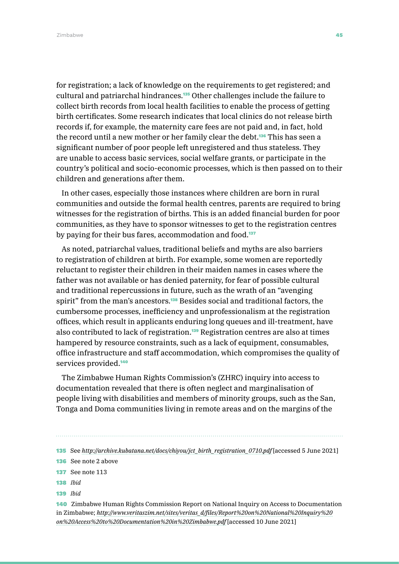for registration; a lack of knowledge on the requirements to get registered; and cultural and patriarchal hindrances.135 Other challenges include the failure to collect birth records from local health facilities to enable the process of getting birth certificates. Some research indicates that local clinics do not release birth records if, for example, the maternity care fees are not paid and, in fact, hold the record until a new mother or her family clear the debt.<sup>136</sup> This has seen a significant number of poor people left unregistered and thus stateless. They are unable to access basic services, social welfare grants, or participate in the country's political and socio-economic processes, which is then passed on to their children and generations after them.

In other cases, especially those instances where children are born in rural communities and outside the formal health centres, parents are required to bring witnesses for the registration of births. This is an added financial burden for poor communities, as they have to sponsor witnesses to get to the registration centres by paying for their bus fares, accommodation and food.<sup>137</sup>

As noted, patriarchal values, traditional beliefs and myths are also barriers to registration of children at birth. For example, some women are reportedly reluctant to register their children in their maiden names in cases where the father was not available or has denied paternity, for fear of possible cultural and traditional repercussions in future, such as the wrath of an "avenging spirit" from the man's ancestors.<sup>138</sup> Besides social and traditional factors, the cumbersome processes, inefficiency and unprofessionalism at the registration offices, which result in applicants enduring long queues and ill-treatment, have also contributed to lack of registration.<sup>139</sup> Registration centres are also at times hampered by resource constraints, such as a lack of equipment, consumables, office infrastructure and staff accommodation, which compromises the quality of services provided.<sup>140</sup>

The Zimbabwe Human Rights Commission's (ZHRC) inquiry into access to documentation revealed that there is often neglect and marginalisation of people living with disabilities and members of minority groups, such as the San, Tonga and Doma communities living in remote areas and on the margins of the

- 138 *Ibid*
- 139 *Ibid*

140 Zimbabwe Human Rights Commission Report on National Inquiry on Access to Documentation in Zimbabwe; *[http://www.veritaszim.net/sites/veritas\\_d/files/Report%20on%20National%20Inquiry%20](http://www.veritaszim.net/sites/veritas_d/files/Report%20on%20National%20Inquiry%20on%20Access%20to%20Documentation%20in%20Zimbabwe.pdf) [on%20Access%20to%20Documentation%20in%20Zimbabwe.pdf](http://www.veritaszim.net/sites/veritas_d/files/Report%20on%20National%20Inquiry%20on%20Access%20to%20Documentation%20in%20Zimbabwe.pdf)* [accessed 10 June 2021]

<sup>135</sup> See *[http://archive.kubatana.net/docs/chiyou/jct\\_birth\\_registration\\_0710.pdf](http://archive.kubatana.net/docs/chiyou/jct_birth_registration_0710.pdf)* [accessed 5 June 2021]

<sup>136</sup> See note 2 above

<sup>137</sup> See note 113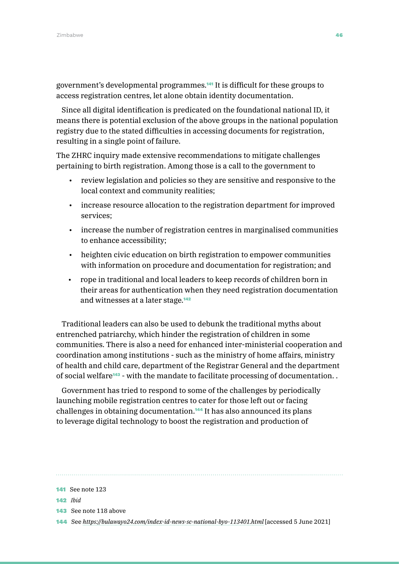government's developmental programmes.141 It is difficult for these groups to access registration centres, let alone obtain identity documentation.

Since all digital identification is predicated on the foundational national ID, it means there is potential exclusion of the above groups in the national population registry due to the stated difficulties in accessing documents for registration, resulting in a single point of failure.

The ZHRC inquiry made extensive recommendations to mitigate challenges pertaining to birth registration. Among those is a call to the government to

- review legislation and policies so they are sensitive and responsive to the local context and community realities;
- increase resource allocation to the registration department for improved services;
- increase the number of registration centres in marginalised communities to enhance accessibility;
- heighten civic education on birth registration to empower communities with information on procedure and documentation for registration; and
- rope in traditional and local leaders to keep records of children born in their areas for authentication when they need registration documentation and witnesses at a later stage.<sup>142</sup>

Traditional leaders can also be used to debunk the traditional myths about entrenched patriarchy, which hinder the registration of children in some communities. There is also a need for enhanced inter-ministerial cooperation and coordination among institutions - such as the ministry of home affairs, ministry of health and child care, department of the Registrar General and the department of social welfare<sup>143</sup> - with the mandate to facilitate processing of documentation..

Government has tried to respond to some of the challenges by periodically launching mobile registration centres to cater for those left out or facing challenges in obtaining documentation.144 It has also announced its plans to leverage digital technology to boost the registration and production of

<sup>141</sup> See note 123

<sup>142</sup> *Ibid*

<sup>143</sup> See note 118 above

<sup>144</sup> See *<https://bulawayo24.com/index-id-news-sc-national-byo-113401.html>* [accessed 5 June 2021]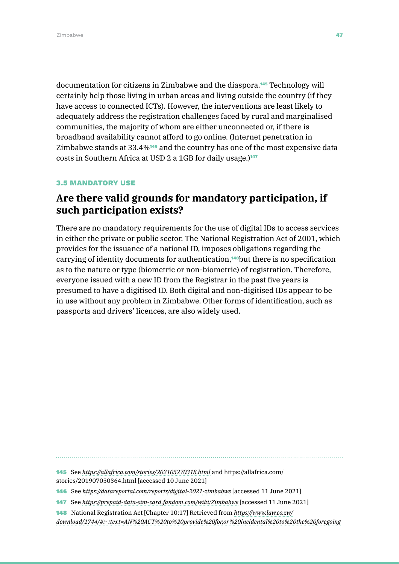documentation for citizens in Zimbabwe and the diaspora.145 Technology will certainly help those living in urban areas and living outside the country (if they have access to connected ICTs). However, the interventions are least likely to adequately address the registration challenges faced by rural and marginalised communities, the majority of whom are either unconnected or, if there is broadband availability cannot afford to go online. (Internet penetration in Zimbabwe stands at 33.4%146 and the country has one of the most expensive data costs in Southern Africa at USD 2 a 1GB for daily usage.)<sup>147</sup>

#### 3.5 MANDATORY USE

## **Are there valid grounds for mandatory participation, if such participation exists?**

There are no mandatory requirements for the use of digital IDs to access services in either the private or public sector. The National Registration Act of 2001, which provides for the issuance of a national ID, imposes obligations regarding the carrying of identity documents for authentication,<sup>148</sup>but there is no specification as to the nature or type (biometric or non-biometric) of registration. Therefore, everyone issued with a new ID from the Registrar in the past five years is presumed to have a digitised ID. Both digital and non-digitised IDs appear to be in use without any problem in Zimbabwe. Other forms of identification, such as passports and drivers' licences, are also widely used.

145 See *<https://allafrica.com/stories/202105270318.html>* and [https://allafrica.com/](https://allafrica.com/stories/201907050364.html) [stories/201907050364.html](https://allafrica.com/stories/201907050364.html) [accessed 10 June 2021]

<sup>146</sup> See *<https://datareportal.com/reports/digital-2021-zimbabwe>* [accessed 11 June 2021]

<sup>147</sup> See *<https://prepaid-data-sim-card.fandom.com/wiki/Zimbabwe>* [accessed 11 June 2021]

<sup>148</sup> National Registration Act [Chapter 10:17] Retrieved from *[https://www.law.co.zw/](https://www.law.co.zw/download/1744/#:~:text=AN%20ACT%20to%20provide%20for,or%20incidental%20to%20th)*

*[download/1744/#:~:text=AN%20ACT%20to%20provide%20for,or%20incidental%20to%20the%20foregoing](https://www.law.co.zw/download/1744/#:~:text=AN%20ACT%20to%20provide%20for,or%20incidental%20to%20th)*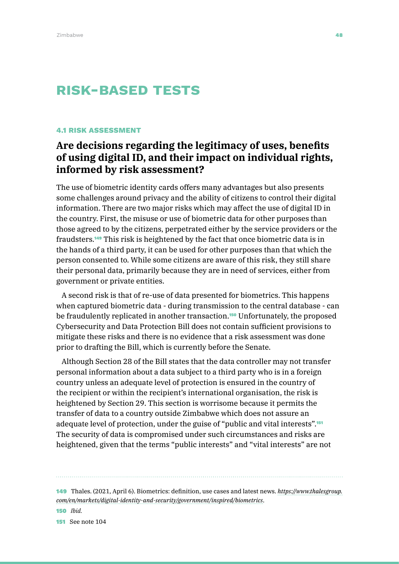# Risk-based tests

#### 4.1 RISK ASSESSMENT

# **Are decisions regarding the legitimacy of uses, benefits of using digital ID, and their impact on individual rights, informed by risk assessment?**

The use of biometric identity cards offers many advantages but also presents some challenges around privacy and the ability of citizens to control their digital information. There are two major risks which may affect the use of digital ID in the country. First, the misuse or use of biometric data for other purposes than those agreed to by the citizens, perpetrated either by the service providers or the fraudsters.149 This risk is heightened by the fact that once biometric data is in the hands of a third party, it can be used for other purposes than that which the person consented to. While some citizens are aware of this risk, they still share their personal data, primarily because they are in need of services, either from government or private entities.

A second risk is that of re-use of data presented for biometrics. This happens when captured biometric data - during transmission to the central database - can be fraudulently replicated in another transaction.<sup>150</sup> Unfortunately, the proposed Cybersecurity and Data Protection Bill does not contain sufficient provisions to mitigate these risks and there is no evidence that a risk assessment was done prior to drafting the Bill, which is currently before the Senate.

Although Section 28 of the Bill states that the data controller may not transfer personal information about a data subject to a third party who is in a foreign country unless an adequate level of protection is ensured in the country of the recipient or within the recipient's international organisation, the risk is heightened by Section 29. This section is worrisome because it permits the transfer of data to a country outside Zimbabwe which does not assure an adequate level of protection, under the guise of "public and vital interests".<sup>151</sup> The security of data is compromised under such circumstances and risks are heightened, given that the terms "public interests" and "vital interests" are not

149 Thales. (2021, April 6). Biometrics: definition, use cases and latest news. *[https://www.thalesgroup.](https://www.thalesgroup.com/en/markets/digital-identity-and-security/government/inspired/biometrics) [com/en/markets/digital-identity-and-security/government/inspired/biometrics](https://www.thalesgroup.com/en/markets/digital-identity-and-security/government/inspired/biometrics)*.

150 *Ibid.*

151 See note 104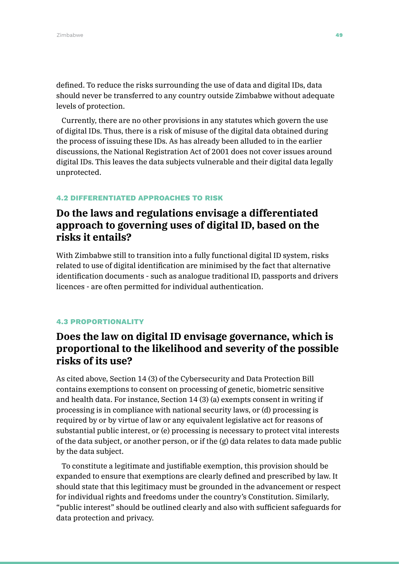defined. To reduce the risks surrounding the use of data and digital IDs, data should never be transferred to any country outside Zimbabwe without adequate levels of protection.

Currently, there are no other provisions in any statutes which govern the use of digital IDs. Thus, there is a risk of misuse of the digital data obtained during the process of issuing these IDs. As has already been alluded to in the earlier discussions, the National Registration Act of 2001 does not cover issues around digital IDs. This leaves the data subjects vulnerable and their digital data legally unprotected.

#### 4.2 DIFFERENTIATED APPROACHES TO RISK

## **Do the laws and regulations envisage a differentiated approach to governing uses of digital ID, based on the risks it entails?**

With Zimbabwe still to transition into a fully functional digital ID system, risks related to use of digital identification are minimised by the fact that alternative identification documents - such as analogue traditional ID, passports and drivers licences - are often permitted for individual authentication.

#### 4.3 PROPORTIONALITY

## **Does the law on digital ID envisage governance, which is proportional to the likelihood and severity of the possible risks of its use?**

As cited above, Section 14 (3) of the Cybersecurity and Data Protection Bill contains exemptions to consent on processing of genetic, biometric sensitive and health data. For instance, Section 14 (3) (a) exempts consent in writing if processing is in compliance with national security laws, or (d) processing is required by or by virtue of law or any equivalent legislative act for reasons of substantial public interest, or (e) processing is necessary to protect vital interests of the data subject, or another person, or if the (g) data relates to data made public by the data subject.

To constitute a legitimate and justifiable exemption, this provision should be expanded to ensure that exemptions are clearly defined and prescribed by law. It should state that this legitimacy must be grounded in the advancement or respect for individual rights and freedoms under the country's Constitution. Similarly, "public interest" should be outlined clearly and also with sufficient safeguards for data protection and privacy.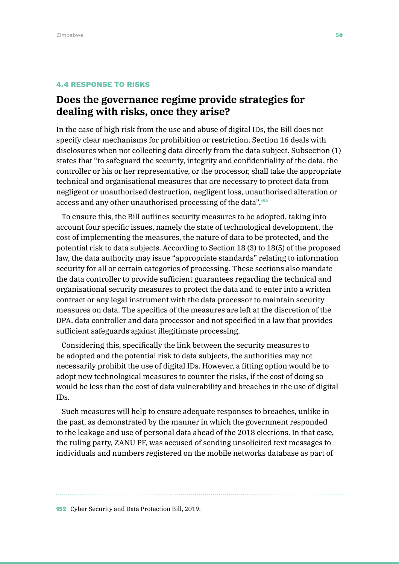#### 4.4 RESPONSE TO RISKS

## **Does the governance regime provide strategies for dealing with risks, once they arise?**

In the case of high risk from the use and abuse of digital IDs, the Bill does not specify clear mechanisms for prohibition or restriction. Section 16 deals with disclosures when not collecting data directly from the data subject. Subsection (1) states that "to safeguard the security, integrity and confidentiality of the data, the controller or his or her representative, or the processor, shall take the appropriate technical and organisational measures that are necessary to protect data from negligent or unauthorised destruction, negligent loss, unauthorised alteration or access and any other unauthorised processing of the data".<sup>152</sup>

To ensure this, the Bill outlines security measures to be adopted, taking into account four specific issues, namely the state of technological development, the cost of implementing the measures, the nature of data to be protected, and the potential risk to data subjects. According to Section 18 (3) to 18(5) of the proposed law, the data authority may issue "appropriate standards" relating to information security for all or certain categories of processing. These sections also mandate the data controller to provide sufficient guarantees regarding the technical and organisational security measures to protect the data and to enter into a written contract or any legal instrument with the data processor to maintain security measures on data. The specifics of the measures are left at the discretion of the DPA, data controller and data processor and not specified in a law that provides sufficient safeguards against illegitimate processing.

Considering this, specifically the link between the security measures to be adopted and the potential risk to data subjects, the authorities may not necessarily prohibit the use of digital IDs. However, a fitting option would be to adopt new technological measures to counter the risks, if the cost of doing so would be less than the cost of data vulnerability and breaches in the use of digital IDs.

Such measures will help to ensure adequate responses to breaches, unlike in the past, as demonstrated by the manner in which the government responded to the leakage and use of personal data ahead of the 2018 elections. In that case, the ruling party, ZANU PF, was accused of sending unsolicited text messages to individuals and numbers registered on the mobile networks database as part of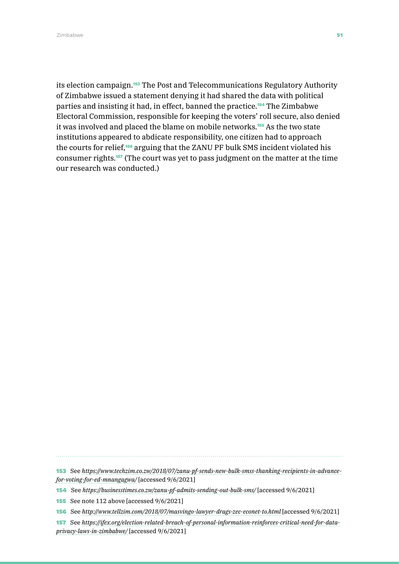Zimbabwe **51** Simbabwe 51 Simbabwe 51 Simbabwe 51 Simbabwe 51 Simbabwe 51 Simbabwe 51 Simbabwe 51 Simbabwe 51 Si

its election campaign.<sup>153</sup> The Post and Telecommunications Regulatory Authority of Zimbabwe issued a statement denying it had shared the data with political parties and insisting it had, in effect, banned the practice.154 The Zimbabwe Electoral Commission, responsible for keeping the voters' roll secure, also denied it was involved and placed the blame on mobile networks.<sup>155</sup> As the two state institutions appeared to abdicate responsibility, one citizen had to approach the courts for relief,<sup>156</sup> arguing that the ZANU PF bulk SMS incident violated his consumer rights.157 (The court was yet to pass judgment on the matter at the time our research was conducted.)

153 See *[https://www.techzim.co.zw/2018/07/zanu-pf-sends-new-bulk-smss-thanking-recipients-in-advance](https://www.techzim.co.zw/2018/07/zanu-pf-sends-new-bulk-smss-thanking-recipients-in-advance-for-voting-for-ed-mnangagwa/)[for-voting-for-ed-mnangagwa/](https://www.techzim.co.zw/2018/07/zanu-pf-sends-new-bulk-smss-thanking-recipients-in-advance-for-voting-for-ed-mnangagwa/)* [accessed 9/6/2021]

154 See *<https://businesstimes.co.zw/zanu-pf-admits-sending-out-bulk-sms/>* [accessed 9/6/2021]

157 See *[https://ifex.org/election-related-breach-of-personal-information-reinforces-critical-need-for-data](https://ifex.org/election-related-breach-of-personal-information-reinforces-critical-need-for-data-privacy-laws-in-zimbabwe/)[privacy-laws-in-zimbabwe/](https://ifex.org/election-related-breach-of-personal-information-reinforces-critical-need-for-data-privacy-laws-in-zimbabwe/)* [accessed 9/6/2021]

<sup>155</sup> See note 112 above [accessed 9/6/2021]

<sup>156</sup> See *<http://www.tellzim.com/2018/07/masvingo-lawyer-drags-zec-econet-to.html>* [accessed 9/6/2021]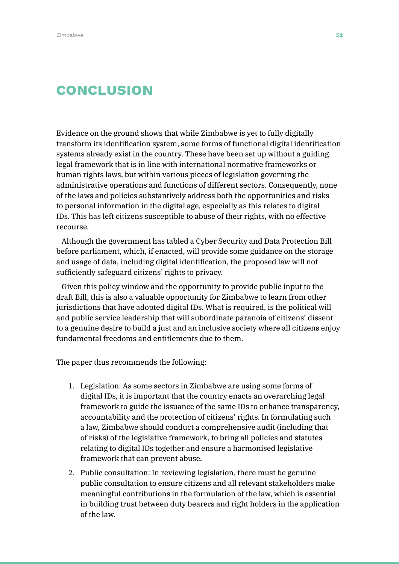# **CONCLUSION**

Evidence on the ground shows that while Zimbabwe is yet to fully digitally transform its identification system, some forms of functional digital identification systems already exist in the country. These have been set up without a guiding legal framework that is in line with international normative frameworks or human rights laws, but within various pieces of legislation governing the administrative operations and functions of different sectors. Consequently, none of the laws and policies substantively address both the opportunities and risks to personal information in the digital age, especially as this relates to digital IDs. This has left citizens susceptible to abuse of their rights, with no effective recourse.

Although the government has tabled a Cyber Security and Data Protection Bill before parliament, which, if enacted, will provide some guidance on the storage and usage of data, including digital identification, the proposed law will not sufficiently safeguard citizens' rights to privacy.

Given this policy window and the opportunity to provide public input to the draft Bill, this is also a valuable opportunity for Zimbabwe to learn from other jurisdictions that have adopted digital IDs. What is required, is the political will and public service leadership that will subordinate paranoia of citizens' dissent to a genuine desire to build a just and an inclusive society where all citizens enjoy fundamental freedoms and entitlements due to them.

The paper thus recommends the following:

- 1. Legislation: As some sectors in Zimbabwe are using some forms of digital IDs, it is important that the country enacts an overarching legal framework to guide the issuance of the same IDs to enhance transparency, accountability and the protection of citizens' rights. In formulating such a law, Zimbabwe should conduct a comprehensive audit (including that of risks) of the legislative framework, to bring all policies and statutes relating to digital IDs together and ensure a harmonised legislative framework that can prevent abuse.
- 2. Public consultation: In reviewing legislation, there must be genuine public consultation to ensure citizens and all relevant stakeholders make meaningful contributions in the formulation of the law, which is essential in building trust between duty bearers and right holders in the application of the law.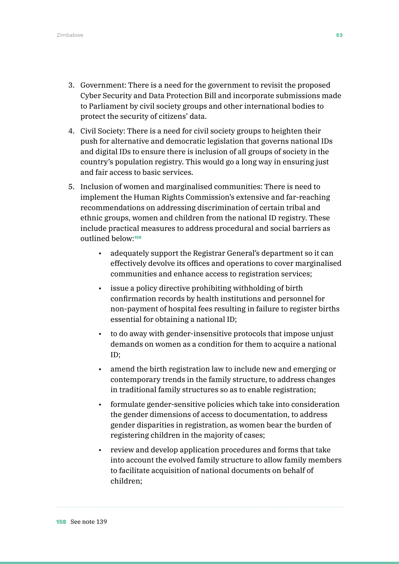- 3. Government: There is a need for the government to revisit the proposed Cyber Security and Data Protection Bill and incorporate submissions made to Parliament by civil society groups and other international bodies to protect the security of citizens' data.
- 4. Civil Society: There is a need for civil society groups to heighten their push for alternative and democratic legislation that governs national IDs and digital IDs to ensure there is inclusion of all groups of society in the country's population registry. This would go a long way in ensuring just and fair access to basic services.
- 5. Inclusion of women and marginalised communities: There is need to implement the Human Rights Commission's extensive and far-reaching recommendations on addressing discrimination of certain tribal and ethnic groups, women and children from the national ID registry. These include practical measures to address procedural and social barriers as outlined below:<sup>158</sup>
	- adequately support the Registrar General's department so it can effectively devolve its offices and operations to cover marginalised communities and enhance access to registration services;
	- issue a policy directive prohibiting withholding of birth confirmation records by health institutions and personnel for non-payment of hospital fees resulting in failure to register births essential for obtaining a national ID;
	- to do away with gender-insensitive protocols that impose unjust demands on women as a condition for them to acquire a national ID;
	- amend the birth registration law to include new and emerging or contemporary trends in the family structure, to address changes in traditional family structures so as to enable registration;
	- formulate gender-sensitive policies which take into consideration the gender dimensions of access to documentation, to address gender disparities in registration, as women bear the burden of registering children in the majority of cases;
	- review and develop application procedures and forms that take into account the evolved family structure to allow family members to facilitate acquisition of national documents on behalf of children;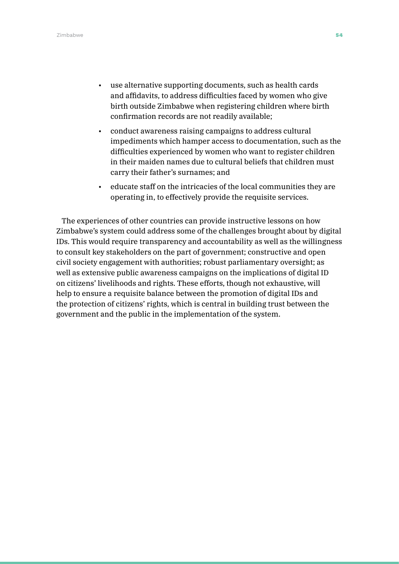- use alternative supporting documents, such as health cards and affidavits, to address difficulties faced by women who give birth outside Zimbabwe when registering children where birth confirmation records are not readily available;
- conduct awareness raising campaigns to address cultural impediments which hamper access to documentation, such as the difficulties experienced by women who want to register children in their maiden names due to cultural beliefs that children must carry their father's surnames; and
- educate staff on the intricacies of the local communities they are operating in, to effectively provide the requisite services.

The experiences of other countries can provide instructive lessons on how Zimbabwe's system could address some of the challenges brought about by digital IDs. This would require transparency and accountability as well as the willingness to consult key stakeholders on the part of government; constructive and open civil society engagement with authorities; robust parliamentary oversight; as well as extensive public awareness campaigns on the implications of digital ID on citizens' livelihoods and rights. These efforts, though not exhaustive, will help to ensure a requisite balance between the promotion of digital IDs and the protection of citizens' rights, which is central in building trust between the government and the public in the implementation of the system.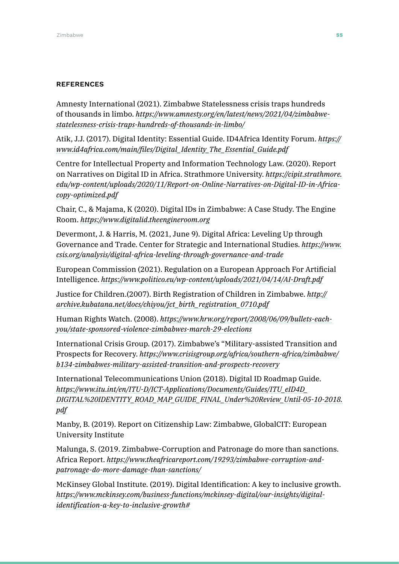#### **REFERENCES**

Amnesty International (2021). Zimbabwe Statelessness crisis traps hundreds of thousands in limbo. *[https://www.amnesty.org/en/latest/news/2021/04/zimbabwe](https://www.amnesty.org/en/latest/news/2021/04/zimbabwe-statelessness-crisis-traps-hundreds-of-thousands-in-limbo/)[statelessness-crisis-traps-hundreds-of-thousands-in-limbo/](https://www.amnesty.org/en/latest/news/2021/04/zimbabwe-statelessness-crisis-traps-hundreds-of-thousands-in-limbo/)*

Atik, J.J. (2017). Digital Identity: Essential Guide. ID4Africa Identity Forum. *[https://](https://www.id4africa.com/main/files/Digital_Identity_The_Essential_Guide.pdf) [www.id4africa.com/main/files/Digital\\_Identity\\_The\\_Essential\\_Guide.pdf](https://www.id4africa.com/main/files/Digital_Identity_The_Essential_Guide.pdf)*

Centre for Intellectual Property and Information Technology Law. (2020). Report on Narratives on Digital ID in Africa. Strathmore University. *[https://cipit.strathmore.](https://cipit.strathmore.edu/wp-content/uploads/2020/11/Report-on-Online-Narratives-on-Digital-ID-in-Africa-copy-optimized.pdf) [edu/wp-content/uploads/2020/11/Report-on-Online-Narratives-on-Digital-ID-in-Africa](https://cipit.strathmore.edu/wp-content/uploads/2020/11/Report-on-Online-Narratives-on-Digital-ID-in-Africa-copy-optimized.pdf)[copy-optimized.pdf](https://cipit.strathmore.edu/wp-content/uploads/2020/11/Report-on-Online-Narratives-on-Digital-ID-in-Africa-copy-optimized.pdf)*

Chair, C., & Majama, K (2020). Digital IDs in Zimbabwe: A Case Study. The Engine Room. *<https://www.digitalid.theengineroom.org>*

Devermont, J. & Harris, M. (2021, June 9). Digital Africa: Leveling Up through Governance and Trade. Center for Strategic and International Studies. *[https://www.](https://www.csis.org/analysis/digital-africa-leveling-through-governance-and-trade) [csis.org/analysis/digital-africa-leveling-through-governance-and-trade](https://www.csis.org/analysis/digital-africa-leveling-through-governance-and-trade)*

European Commission (2021). Regulation on a European Approach For Artificial Intelligence. *<https://www.politico.eu/wp-content/uploads/2021/04/14/AI-Draft.pdf>*

Justice for Children.(2007). Birth Registration of Children in Zimbabwe. *[http://](http://archive.kubatana.net/docs/chiyou/jct_birth_registration_0710.pdf) [archive.kubatana.net/docs/chiyou/jct\\_birth\\_registration\\_0710.pdf](http://archive.kubatana.net/docs/chiyou/jct_birth_registration_0710.pdf)*

Human Rights Watch. (2008). *[https://www.hrw.org/report/2008/06/09/bullets-each](https://www.hrw.org/report/2008/06/09/bullets-each-you/state-sponsored-violence-zimbabwes-march-29-elections)[you/state-sponsored-violence-zimbabwes-march-29-elections](https://www.hrw.org/report/2008/06/09/bullets-each-you/state-sponsored-violence-zimbabwes-march-29-elections)*

International Crisis Group. (2017). Zimbabwe's "Military-assisted Transition and Prospects for Recovery. *[https://www.crisisgroup.org/africa/southern-africa/zimbabwe/](https://www.crisisgroup.org/africa/southern-africa/zimbabwe/b134-zimbabwes-military-assisted-transition-and-prospects-recovery) [b134-zimbabwes-military-assisted-transition-and-prospects-recovery](https://www.crisisgroup.org/africa/southern-africa/zimbabwe/b134-zimbabwes-military-assisted-transition-and-prospects-recovery)*

International Telecommunications Union (2018). Digital ID Roadmap Guide. *[https://www.itu.int/en/ITU-D/ICT-Applications/Documents/Guides/ITU\\_eID4D\\_](https://www.itu.int/en/ITU-D/ICT-Applications/Documents/Guides/ITU_eID4D_DIGITAL%20IDENTITY_ROAD_MAP_GUIDE_FINAL_Under%20Review_Until-05-10-2018.pdf) [DIGITAL%20IDENTITY\\_ROAD\\_MAP\\_GUIDE\\_FINAL\\_Under%20Review\\_Until-05-10-2018.](https://www.itu.int/en/ITU-D/ICT-Applications/Documents/Guides/ITU_eID4D_DIGITAL%20IDENTITY_ROAD_MAP_GUIDE_FINAL_Under%20Review_Until-05-10-2018.pdf) [pdf](https://www.itu.int/en/ITU-D/ICT-Applications/Documents/Guides/ITU_eID4D_DIGITAL%20IDENTITY_ROAD_MAP_GUIDE_FINAL_Under%20Review_Until-05-10-2018.pdf)*

Manby, B. (2019). Report on Citizenship Law: Zimbabwe, GlobalCIT: European University Institute

Malunga, S. (2019. Zimbabwe-Corruption and Patronage do more than sanctions. Africa Report. *[https://www.theafricareport.com/19293/zimbabwe-corruption-and](https://www.theafricareport.com/19293/zimbabwe-corruption-and-patronage-do-more-damage-than-sanctions/)[patronage-do-more-damage-than-sanctions/](https://www.theafricareport.com/19293/zimbabwe-corruption-and-patronage-do-more-damage-than-sanctions/)*

McKinsey Global Institute. (2019). Digital Identification: A key to inclusive growth. *[https://www.mckinsey.com/business-functions/mckinsey-digital/our-insights/digital](https://www.mckinsey.com/business-functions/mckinsey-digital/our-insights/digital-identification-a-key-to-inclusive-growth)[identification-a-key-to-inclusive-growth#](https://www.mckinsey.com/business-functions/mckinsey-digital/our-insights/digital-identification-a-key-to-inclusive-growth)*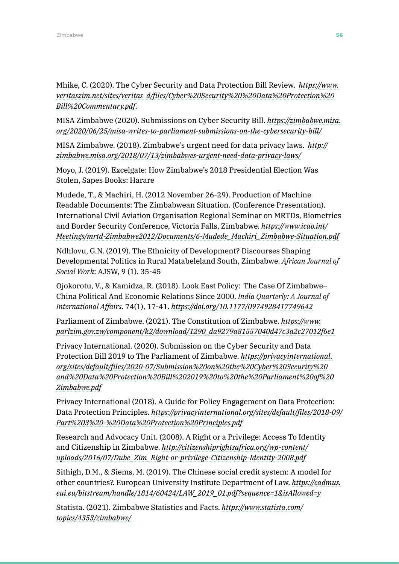Mhike, C. (2020). The Cyber Security and Data Protection Bill Review. *[https://www.](https://www.veritaszim.net/sites/veritas_d/files/Cyber%20Security%20%20Data%20Protection%20Bill%20Commentary.pdf) [veritaszim.net/sites/veritas\\_d/files/Cyber%20Security%20%20Data%20Protection%20](https://www.veritaszim.net/sites/veritas_d/files/Cyber%20Security%20%20Data%20Protection%20Bill%20Commentary.pdf) [Bill%20Commentary.pdf](https://www.veritaszim.net/sites/veritas_d/files/Cyber%20Security%20%20Data%20Protection%20Bill%20Commentary.pdf)*.

MISA Zimbabwe (2020). Submissions on Cyber Security Bill. *[https://zimbabwe.misa.](https://zimbabwe.misa.org/2020/06/25/misa-writes-to-parliament-submissions-on-the-cybersecurity-bill/) [org/2020/06/25/misa-writes-to-parliament-submissions-on-the-cybersecurity-bill/](https://zimbabwe.misa.org/2020/06/25/misa-writes-to-parliament-submissions-on-the-cybersecurity-bill/)*

MISA Zimbabwe. (2018). Zimbabwe's urgent need for data privacy laws. *[http://](http://zimbabwe.misa.org/2018/07/13/zimbabwes-urgent-need-data-privacy-laws/) [zimbabwe.misa.org/2018/07/13/zimbabwes-urgent-need-data-privacy-laws/](http://zimbabwe.misa.org/2018/07/13/zimbabwes-urgent-need-data-privacy-laws/)*

Moyo, J. (2019). Excelgate: How Zimbabwe's 2018 Presidential Election Was Stolen, Sapes Books: Harare

Mudede, T., & Machiri, H. (2012 November 26-29). Production of Machine Readable Documents: The Zimbabwean Situation. (Conference Presentation). International Civil Aviation Organisation Regional Seminar on MRTDs, Biometrics and Border Security Conference, Victoria Falls, Zimbabwe. *[https://www.icao.int/](https://www.icao.int/Meetings/mrtd-Zimbabwe2012/Documents/6-Mudede_Machiri_Zimbabwe-Situation.pdf) [Meetings/mrtd-Zimbabwe2012/Documents/6-Mudede\\_Machiri\\_Zimbabwe-Situation.pdf](https://www.icao.int/Meetings/mrtd-Zimbabwe2012/Documents/6-Mudede_Machiri_Zimbabwe-Situation.pdf)*

Ndhlovu, G.N. (2019). The Ethnicity of Development? Discourses Shaping Developmental Politics in Rural Matabeleland South, Zimbabwe. *African Journal of Social Work*: AJSW, 9 (1). 35-45

Ojokorotu, V., & Kamidza, R. (2018). Look East Policy: The Case Of Zimbabwe– China Political And Economic Relations Since 2000. *India Quarterly: A Journal of International Affairs*. 74(1), 17-41. *[https://doi.org/10.1177/0974928417749642](https://doi.org/10.1177%2F0974928417749642)*

Parliament of Zimbabwe. (2021). The Constitution of Zimbabwe. *[https://www.](https://www.parlzim.gov.zw/component/k2/download/1290_da9279a81557040d47c3a2c27012f6e1) [parlzim.gov.zw/component/k2/download/1290\\_da9279a81557040d47c3a2c27012f6e1](https://www.parlzim.gov.zw/component/k2/download/1290_da9279a81557040d47c3a2c27012f6e1)*

Privacy International. (2020). Submission on the Cyber Security and Data Protection Bill 2019 to The Parliament of Zimbabwe. *[https://privacyinternational.](https://privacyinternational.org/sites/default/files/2020-07/Submission%20on%20the%20Cyber%20Security%20and%20Data%20Protection%20Bill%202019%20to%20the%20Parliament%20of%20Zimbabwe.pdf) [org/sites/default/files/2020-07/Submission%20on%20the%20Cyber%20Security%20](https://privacyinternational.org/sites/default/files/2020-07/Submission%20on%20the%20Cyber%20Security%20and%20Data%20Protection%20Bill%202019%20to%20the%20Parliament%20of%20Zimbabwe.pdf) [and%20Data%20Protection%20Bill%202019%20to%20the%20Parliament%20of%20](https://privacyinternational.org/sites/default/files/2020-07/Submission%20on%20the%20Cyber%20Security%20and%20Data%20Protection%20Bill%202019%20to%20the%20Parliament%20of%20Zimbabwe.pdf) [Zimbabwe.pdf](https://privacyinternational.org/sites/default/files/2020-07/Submission%20on%20the%20Cyber%20Security%20and%20Data%20Protection%20Bill%202019%20to%20the%20Parliament%20of%20Zimbabwe.pdf)*

Privacy International (2018). A Guide for Policy Engagement on Data Protection: Data Protection Principles. *[https://privacyinternational.org/sites/default/files/2018-09/](https://privacyinternational.org/sites/default/files/2018-09/Part%203%20-%20Data%20Protection%20Principles.pdf) [Part%203%20-%20Data%20Protection%20Principles.pdf](https://privacyinternational.org/sites/default/files/2018-09/Part%203%20-%20Data%20Protection%20Principles.pdf)*

Research and Advocacy Unit. (2008). A Right or a Privilege: Access To Identity and Citizenship in Zimbabwe. *[http://citizenshiprightsafrica.org/wp-content/](http://citizenshiprightsafrica.org/wp-content/uploads/2016/07/Dube_Zim_Right-or-privilege-Citizenship-Identity-2008.pdf) [uploads/2016/07/Dube\\_Zim\\_Right-or-privilege-Citizenship-Identity-2008.pdf](http://citizenshiprightsafrica.org/wp-content/uploads/2016/07/Dube_Zim_Right-or-privilege-Citizenship-Identity-2008.pdf)*

Sithigh, D.M., & Siems, M. (2019). The Chinese social credit system: A model for other countries?. European University Institute Department of Law. *[https://cadmus.](https://cadmus.eui.eu/bitstream/handle/1814/60424/LAW_2019_01.pdf?sequence=1&isAllowed=y) [eui.eu/bitstream/handle/1814/60424/LAW\\_2019\\_01.pdf?sequence=1&isAllowed=y](https://cadmus.eui.eu/bitstream/handle/1814/60424/LAW_2019_01.pdf?sequence=1&isAllowed=y)*

Statista. (2021). Zimbabwe Statistics and Facts. *[https://www.statista.com/](https://www.statista.com/topics/4353/zimbabwe/) [topics/4353/zimbabwe/](https://www.statista.com/topics/4353/zimbabwe/)*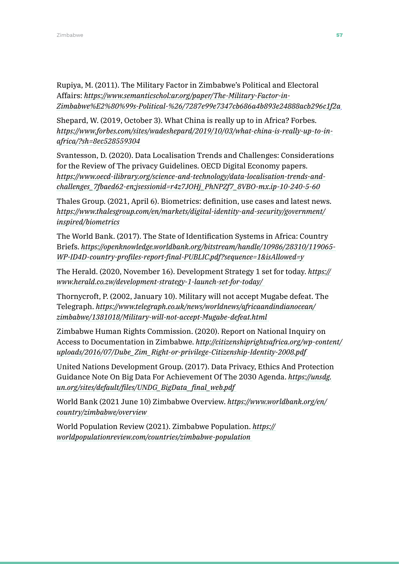Rupiya, M. (2011). The Military Factor in Zimbabwe's Political and Electoral Affairs: *[https://www.semanticschol:ar.org/paper/The-Military-Factor-in-](about:blank)[Zimbabwe%E2%80%99s-Political-%26/7287e99e7347cb686a4b893e24888acb296c1f2a](about:blank)*

Shepard, W. (2019, October 3). What China is really up to in Africa? Forbes. *[https://www.forbes.com/sites/wadeshepard/2019/10/03/what-china-is-really-up-to-in](https://www.forbes.com/sites/wadeshepard/2019/10/03/what-china-is-really-up-to-in-africa/?sh=8ec528559304)[africa/?sh=8ec528559304](https://www.forbes.com/sites/wadeshepard/2019/10/03/what-china-is-really-up-to-in-africa/?sh=8ec528559304)*

Svantesson, D. (2020). Data Localisation Trends and Challenges: Considerations for the Review of The privacy Guidelines. OECD Digital Economy papers. *[https://www.oecd-ilibrary.org/science-and-technology/data-localisation-trends-and](https://www.oecd-ilibrary.org/science-and-technology/data-localisation-trends-and-challenges_7fbaed6)[challenges\\_7fbaed62-en;jsessionid=r4z7JOHj\\_PhNPZf7\\_8VBO-mx.ip-10-240-5-60](https://www.oecd-ilibrary.org/science-and-technology/data-localisation-trends-and-challenges_7fbaed6)*

Thales Group. (2021, April 6). Biometrics: definition, use cases and latest news. *[https://www.thalesgroup.com/en/markets/digital-identity-and-security/government/](https://www.thalesgroup.com/en/markets/digital-identity-and-security/government/inspired/biometrics ) [inspired/biometrics](https://www.thalesgroup.com/en/markets/digital-identity-and-security/government/inspired/biometrics )*

The World Bank. (2017). The State of Identification Systems in Africa: Country Briefs. *[https://openknowledge.worldbank.org/bitstream/handle/10986/28310/119065-](https://openknowledge.worldbank.org/bitstream/handle/10986/28310/119065-WP-ID4D-country-profiles-rep) [WP-ID4D-country-profiles-report-final-PUBLIC.pdf?sequence=1&isAllowed=y](https://openknowledge.worldbank.org/bitstream/handle/10986/28310/119065-WP-ID4D-country-profiles-rep)*

The Herald. (2020, November 16). Development Strategy 1 set for today. *[https://](https://www.herald.co.zw/development-strategy-1-launch-set-for-today/  ) [www.herald.co.zw/development-strategy-1-launch-set-for-today/](https://www.herald.co.zw/development-strategy-1-launch-set-for-today/  )* 

Thornycroft, P. (2002, January 10). Military will not accept Mugabe defeat. The Telegraph. *[https://www.telegraph.co.uk/news/worldnews/africaandindianocean/](https://www.telegraph.co.uk/news/worldnews/africaandindianocean/zimbabwe/1381018/Military-will-not-a) [zimbabwe/1381018/Military-will-not-accept-Mugabe-defeat.html](https://www.telegraph.co.uk/news/worldnews/africaandindianocean/zimbabwe/1381018/Military-will-not-a)* 

Zimbabwe Human Rights Commission. (2020). Report on National Inquiry on Access to Documentation in Zimbabwe. *[http://citizenshiprightsafrica.org/wp-content/](http://citizenshiprightsafrica.org/wp-content/uploads/2016/07/Dube_Zim_Right-or-privilege-Citizenshi) [uploads/2016/07/Dube\\_Zim\\_Right-or-privilege-Citizenship-Identity-2008.pdf](http://citizenshiprightsafrica.org/wp-content/uploads/2016/07/Dube_Zim_Right-or-privilege-Citizenshi)* 

United Nations Development Group. (2017). Data Privacy, Ethics And Protection Guidance Note On Big Data For Achievement Of The 2030 Agenda. *[https://unsdg.](https://unsdg.un.org/sites/default/files/UNDG_BigData_final_web.pdf  ) [un.org/sites/default/files/UNDG\\_BigData\\_final\\_web.pdf](https://unsdg.un.org/sites/default/files/UNDG_BigData_final_web.pdf  )* 

World Bank (2021 June 10) Zimbabwe Overview. *[https://www.worldbank.org/en/](https://www.worldbank.org/en/country/zimbabwe/overview  ) [country/zimbabwe/overview](https://www.worldbank.org/en/country/zimbabwe/overview  )* 

World Population Review (2021). Zimbabwe Population. *[https://](https://worldpopulationreview.com/countries/zimbabwe-population  ) [worldpopulationreview.com/countries/zimbabwe-population](https://worldpopulationreview.com/countries/zimbabwe-population  )*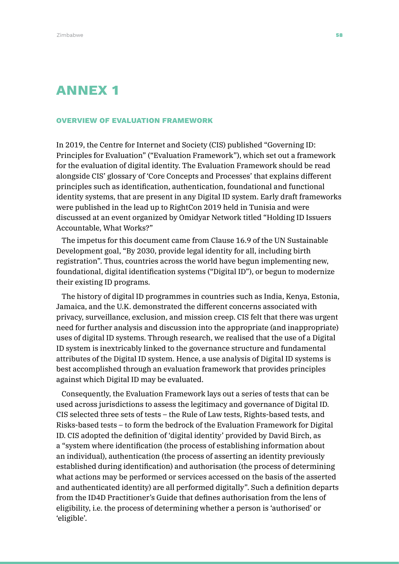# ANNEX 1

#### OVERVIEW OF EVALUATION FRAMEWORK

In 2019, the Centre for Internet and Society (CIS) published "Governing ID: Principles for Evaluation" ("Evaluation Framework"), which set out a framework for the evaluation of digital identity. The Evaluation Framework should be read alongside CIS' glossary of 'Core Concepts and Processes' that explains different principles such as identification, authentication, foundational and functional identity systems, that are present in any Digital ID system. Early draft frameworks were published in the lead up to RightCon 2019 held in Tunisia and were discussed at an event organized by Omidyar Network titled "Holding ID Issuers Accountable, What Works?"

The impetus for this document came from Clause 16.9 of the UN Sustainable Development goal, "By 2030, provide legal identity for all, including birth registration". Thus, countries across the world have begun implementing new, foundational, digital identification systems ("Digital ID"), or begun to modernize their existing ID programs.

The history of digital ID programmes in countries such as India, Kenya, Estonia, Jamaica, and the U.K. demonstrated the different concerns associated with privacy, surveillance, exclusion, and mission creep. CIS felt that there was urgent need for further analysis and discussion into the appropriate (and inappropriate) uses of digital ID systems. Through research, we realised that the use of a Digital ID system is inextricably linked to the governance structure and fundamental attributes of the Digital ID system. Hence, a use analysis of Digital ID systems is best accomplished through an evaluation framework that provides principles against which Digital ID may be evaluated.

Consequently, the Evaluation Framework lays out a series of tests that can be used across jurisdictions to assess the legitimacy and governance of Digital ID. CIS selected three sets of tests – the Rule of Law tests, Rights-based tests, and Risks-based tests – to form the bedrock of the Evaluation Framework for Digital ID. CIS adopted the definition of 'digital identity' provided by David Birch, as a "system where identification (the process of establishing information about an individual), authentication (the process of asserting an identity previously established during identification) and authorisation (the process of determining what actions may be performed or services accessed on the basis of the asserted and authenticated identity) are all performed digitally". Such a definition departs from the ID4D Practitioner's Guide that defines authorisation from the lens of eligibility, i.e. the process of determining whether a person is 'authorised' or 'eligible'.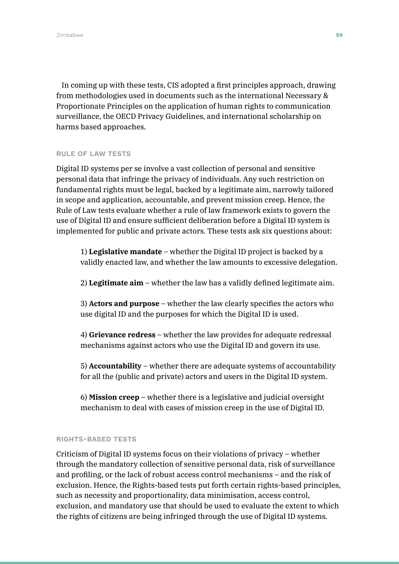In coming up with these tests, CIS adopted a first principles approach, drawing from methodologies used in documents such as the international Necessary & Proportionate Principles on the application of human rights to communication surveillance, the OECD Privacy Guidelines, and international scholarship on harms based approaches.

#### RULE OF LAW TESTS

Digital ID systems per se involve a vast collection of personal and sensitive personal data that infringe the privacy of individuals. Any such restriction on fundamental rights must be legal, backed by a legitimate aim, narrowly tailored in scope and application, accountable, and prevent mission creep. Hence, the Rule of Law tests evaluate whether a rule of law framework exists to govern the use of Digital ID and ensure sufficient deliberation before a Digital ID system is implemented for public and private actors. These tests ask six questions about:

1) **Legislative mandate** – whether the Digital ID project is backed by a validly enacted law, and whether the law amounts to excessive delegation.

2) **Legitimate aim** – whether the law has a validly defined legitimate aim.

3) **Actors and purpose** – whether the law clearly specifies the actors who use digital ID and the purposes for which the Digital ID is used.

4) **Grievance redress** – whether the law provides for adequate redressal mechanisms against actors who use the Digital ID and govern its use.

5) **Accountability** – whether there are adequate systems of accountability for all the (public and private) actors and users in the Digital ID system.

6) **Mission creep** – whether there is a legislative and judicial oversight mechanism to deal with cases of mission creep in the use of Digital ID.

#### RIGHTS-BASED TESTS

Criticism of Digital ID systems focus on their violations of privacy – whether through the mandatory collection of sensitive personal data, risk of surveillance and profiling, or the lack of robust access control mechanisms – and the risk of exclusion. Hence, the Rights-based tests put forth certain rights-based principles, such as necessity and proportionality, data minimisation, access control, exclusion, and mandatory use that should be used to evaluate the extent to which the rights of citizens are being infringed through the use of Digital ID systems.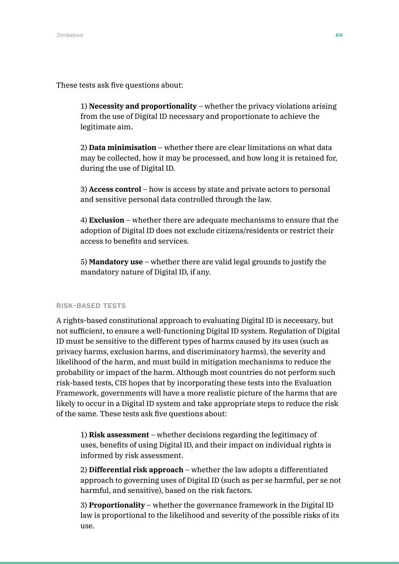These tests ask five questions about:

1) **Necessity and proportionality** – whether the privacy violations arising from the use of Digital ID necessary and proportionate to achieve the legitimate aim.

2) **Data minimisation** – whether there are clear limitations on what data may be collected, how it may be processed, and how long it is retained for, during the use of Digital ID.

3) **Access control** – how is access by state and private actors to personal and sensitive personal data controlled through the law.

4) **Exclusion** – whether there are adequate mechanisms to ensure that the adoption of Digital ID does not exclude citizens/residents or restrict their access to benefits and services.

5) **Mandatory use** – whether there are valid legal grounds to justify the mandatory nature of Digital ID, if any.

#### RISK-BASED TESTS

A rights-based constitutional approach to evaluating Digital ID is necessary, but not sufficient, to ensure a well-functioning Digital ID system. Regulation of Digital ID must be sensitive to the different types of harms caused by its uses (such as privacy harms, exclusion harms, and discriminatory harms), the severity and likelihood of the harm, and must build in mitigation mechanisms to reduce the probability or impact of the harm. Although most countries do not perform such risk-based tests, CIS hopes that by incorporating these tests into the Evaluation Framework, governments will have a more realistic picture of the harms that are likely to occur in a Digital ID system and take appropriate steps to reduce the risk of the same. These tests ask five questions about:

1) **Risk assessment** – whether decisions regarding the legitimacy of uses, benefits of using Digital ID, and their impact on individual rights is informed by risk assessment.

2) **Differential risk approach** – whether the law adopts a differentiated approach to governing uses of Digital ID (such as per se harmful, per se not harmful, and sensitive), based on the risk factors.

3) **Proportionality** – whether the governance framework in the Digital ID law is proportional to the likelihood and severity of the possible risks of its use.